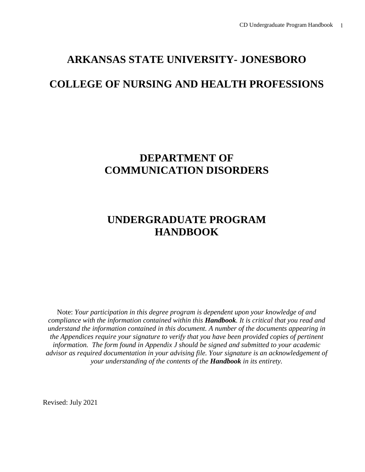## **ARKANSAS STATE UNIVERSITY- JONESBORO**

## **COLLEGE OF NURSING AND HEALTH PROFESSIONS**

## **DEPARTMENT OF COMMUNICATION DISORDERS**

## **UNDERGRADUATE PROGRAM HANDBOOK**

Note: *Your participation in this degree program is dependent upon your knowledge of and compliance with the information contained within this Handbook. It is critical that you read and understand the information contained in this document. A number of the documents appearing in the Appendices require your signature to verify that you have been provided copies of pertinent information. The form found in Appendix J should be signed and submitted to your academic advisor as required documentation in your advising file. Your signature is an acknowledgement of your understanding of the contents of the Handbook in its entirety.*

Revised: July 2021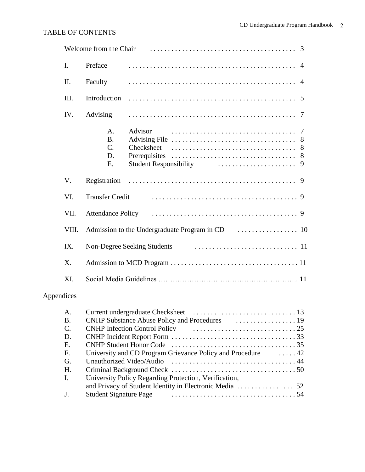### TABLE OF CONTENTS

|                |                                                        | Welcome from the Chair (a) in the context of the context of the Chair (a) is not context.                                                                                    |
|----------------|--------------------------------------------------------|------------------------------------------------------------------------------------------------------------------------------------------------------------------------------|
| $\mathbf{I}$ . | Preface                                                |                                                                                                                                                                              |
| II.            | Faculty                                                |                                                                                                                                                                              |
| III.           | Introduction                                           | -5                                                                                                                                                                           |
| IV.            | Advising                                               | -7                                                                                                                                                                           |
|                | A <sub>1</sub><br><b>B.</b><br>$C_{\cdot}$<br>D.<br>E. | Advisor<br>8<br>Checksheet<br>8<br>Prerequisites<br>8<br>Student Responsibility (and the contract of the state of the state of the state of the state of the state of t<br>9 |
| V.             | Registration                                           |                                                                                                                                                                              |
| VI.            | <b>Transfer Credit</b>                                 |                                                                                                                                                                              |
| VII.           |                                                        |                                                                                                                                                                              |
| VIII.          |                                                        |                                                                                                                                                                              |
| IX.            |                                                        |                                                                                                                                                                              |
| X.             |                                                        |                                                                                                                                                                              |
| XI.            |                                                        |                                                                                                                                                                              |

### Appendices

| A.             |                                                                        |  |
|----------------|------------------------------------------------------------------------|--|
| <b>B.</b>      |                                                                        |  |
| $\mathbf{C}$ . | CNHP Infection Control Policy (Executive Lines 25                      |  |
| D.             |                                                                        |  |
| Е.             |                                                                        |  |
| F.             | University and CD Program Grievance Policy and Procedure 42            |  |
| G.             |                                                                        |  |
| Н.             |                                                                        |  |
| Ι.             | University Policy Regarding Protection, Verification,                  |  |
|                |                                                                        |  |
| J <sub>r</sub> | Student Signature Page The Communication of the Student Signature Page |  |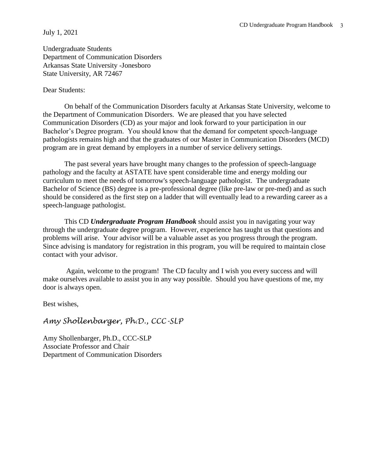#### July 1, 2021

Undergraduate Students Department of Communication Disorders Arkansas State University -Jonesboro State University, AR 72467

#### Dear Students:

On behalf of the Communication Disorders faculty at Arkansas State University, welcome to the Department of Communication Disorders. We are pleased that you have selected Communication Disorders (CD) as your major and look forward to your participation in our Bachelor's Degree program. You should know that the demand for competent speech-language pathologists remains high and that the graduates of our Master in Communication Disorders (MCD) program are in great demand by employers in a number of service delivery settings.

The past several years have brought many changes to the profession of speech-language pathology and the faculty at ASTATE have spent considerable time and energy molding our curriculum to meet the needs of tomorrow's speech-language pathologist. The undergraduate Bachelor of Science (BS) degree is a pre-professional degree (like pre-law or pre-med) and as such should be considered as the first step on a ladder that will eventually lead to a rewarding career as a speech-language pathologist.

This CD *Undergraduate Program Handbook* should assist you in navigating your way through the undergraduate degree program. However, experience has taught us that questions and problems will arise. Your advisor will be a valuable asset as you progress through the program. Since advising is mandatory for registration in this program, you will be required to maintain close contact with your advisor.

Again, welcome to the program! The CD faculty and I wish you every success and will make ourselves available to assist you in any way possible. Should you have questions of me, my door is always open.

Best wishes,

### *Amy Shollenbarger, Ph.D., CCC-SLP*

Amy Shollenbarger, Ph.D., CCC-SLP Associate Professor and Chair Department of Communication Disorders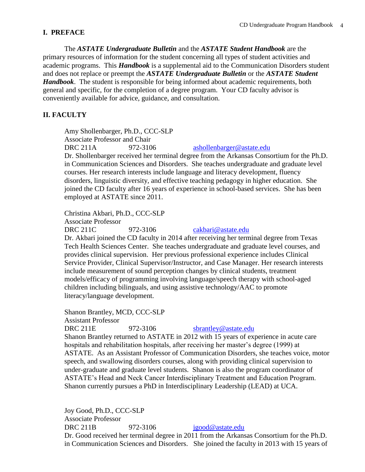### **I. PREFACE**

The *ASTATE Undergraduate Bulletin* and the *ASTATE Student Handbook* are the primary resources of information for the student concerning all types of student activities and academic programs. This *Handbook* is a supplemental aid to the Communication Disorders student and does not replace or preempt the *ASTATE Undergraduate Bulletin* or the *ASTATE Student Handbook*. The student is responsible for being informed about academic requirements, both general and specific, for the completion of a degree program. Your CD faculty advisor is conveniently available for advice, guidance, and consultation.

### **II. FACULTY**

Amy Shollenbarger, Ph.D., CCC-SLP Associate Professor and Chair DRC 211A 972-3106 [ashollenbarger@astate.edu](mailto:ashollenbarger@astate.edu) Dr. Shollenbarger received her terminal degree from the Arkansas Consortium for the Ph.D. in Communication Sciences and Disorders. She teaches undergraduate and graduate level courses. Her research interests include language and literacy development, fluency disorders, linguistic diversity, and effective teaching pedagogy in higher education. She joined the CD faculty after 16 years of experience in school-based services. She has been employed at ASTATE since 2011.

Christina Akbari, Ph.D., CCC-SLP Associate Professor DRC 211C 972-3106 [cakbari@astate.edu](mailto:mcatt@astate.edu)

Dr. Akbari joined the CD faculty in 2014 after receiving her terminal degree from Texas Tech Health Sciences Center. She teaches undergraduate and graduate level courses, and provides clinical supervision. Her previous professional experience includes Clinical Service Provider, Clinical Supervisor/Instructor, and Case Manager. Her research interests include measurement of sound perception changes by clinical students, treatment models/efficacy of programming involving language/speech therapy with school-aged children including bilinguals, and using assistive technology/AAC to promote literacy/language development.

Shanon Brantley, MCD, CCC-SLP Assistant Professor DRC 211E 972-3106 [sbrantley@astate.edu](mailto:whinkle@astate.edu) Shanon Brantley returned to ASTATE in 2012 with 15 years of experience in acute care hospitals and rehabilitation hospitals, after receiving her master's degree (1999) at ASTATE. As an Assistant Professor of Communication Disorders, she teaches voice, motor speech, and swallowing disorders courses, along with providing clinical supervision to under-graduate and graduate level students. Shanon is also the program coordinator of ASTATE's Head and Neck Cancer Interdisciplinary Treatment and Education Program. Shanon currently pursues a PhD in Interdisciplinary Leadership (LEAD) at UCA.

Joy Good, Ph.D., CCC-SLP Associate Professor DRC 211B 972-3106  $j \text{good} @$  astate.edu Dr. Good received her terminal degree in 2011 from the Arkansas Consortium for the Ph.D. in Communication Sciences and Disorders. She joined the faculty in 2013 with 15 years of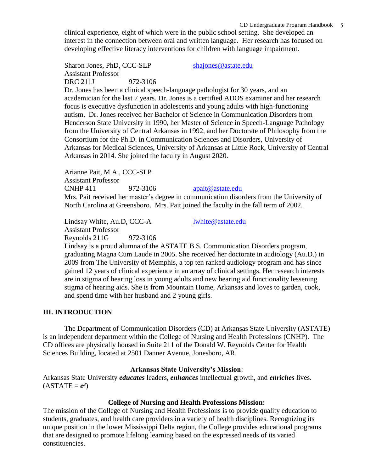clinical experience, eight of which were in the public school setting. She developed an interest in the connection between oral and written language. Her research has focused on developing effective literacy interventions for children with language impairment.

Sharon Jones, PhD, CCC-SLP [shajones@astate.edu](mailto:shajones@astate.edu) Assistant Professor DRC 211J 972-3106

Dr. Jones has been a clinical speech-language pathologist for 30 years, and an academician for the last 7 years. Dr. Jones is a certified ADOS examiner and her research focus is executive dysfunction in adolescents and young adults with high-functioning autism. Dr. Jones received her Bachelor of Science in Communication Disorders from Henderson State University in 1990, her Master of Science in Speech-Language Pathology from the University of Central Arkansas in 1992, and her Doctorate of Philosophy from the Consortium for the Ph.D. in Communication Sciences and Disorders, University of Arkansas for Medical Sciences, University of Arkansas at Little Rock, University of Central Arkansas in 2014. She joined the faculty in August 2020.

Arianne Pait, M.A., CCC-SLP Assistant Professor  $CNHP 411$  972-3106 [apait@astate.edu](mailto:apait@astate.edu) Mrs. Pait received her master's degree in communication disorders from the University of North Carolina at Greensboro. Mrs. Pait joined the faculty in the fall term of 2002.

Lindsay White, Au.D, CCC-A [lwhite@astate.edu](mailto:lwhite@astate.edu) Assistant Professor Reynolds 211G 972-3106

Lindsay is a proud alumna of the ASTATE B.S. Communication Disorders program, graduating Magna Cum Laude in 2005. She received her doctorate in audiology (Au.D.) in 2009 from The University of Memphis, a top ten ranked audiology program and has since gained 12 years of clinical experience in an array of clinical settings. Her research interests are in stigma of hearing loss in young adults and new hearing aid functionality lessening stigma of hearing aids. She is from Mountain Home, Arkansas and loves to garden, cook, and spend time with her husband and 2 young girls.

### **III. INTRODUCTION**

The Department of Communication Disorders (CD) at Arkansas State University (ASTATE) is an independent department within the College of Nursing and Health Professions (CNHP). The CD offices are physically housed in Suite 211 of the Donald W. Reynolds Center for Health Sciences Building, located at 2501 Danner Avenue, Jonesboro, AR.

### **Arkansas State University's Mission**:

Arkansas State University *educates* leaders, *enhances* intellectual growth, and *enriches* lives.  $(ASTATE = e^3)$ 

#### **College of Nursing and Health Professions Mission:**

The mission of the College of Nursing and Health Professions is to provide quality education to students, graduates, and health care providers in a variety of health disciplines. Recognizing its unique position in the lower Mississippi Delta region, the College provides educational programs that are designed to promote lifelong learning based on the expressed needs of its varied constituencies.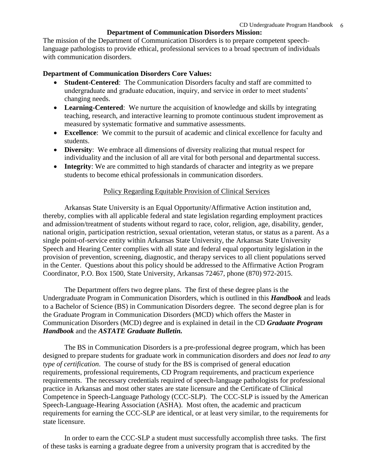### **Department of Communication Disorders Mission:**

The mission of the Department of Communication Disorders is to prepare competent speechlanguage pathologists to provide ethical, professional services to a broad spectrum of individuals with communication disorders.

#### **Department of Communication Disorders Core Values:**

- **Student-Centered**: The Communication Disorders faculty and staff are committed to undergraduate and graduate education, inquiry, and service in order to meet students' changing needs.
- **Learning-Centered**: We nurture the acquisition of knowledge and skills by integrating teaching, research, and interactive learning to promote continuous student improvement as measured by systematic formative and summative assessments.
- **Excellence**: We commit to the pursuit of academic and clinical excellence for faculty and students.
- **Diversity**: We embrace all dimensions of diversity realizing that mutual respect for individuality and the inclusion of all are vital for both personal and departmental success.
- **Integrity**: We are committed to high standards of character and integrity as we prepare students to become ethical professionals in communication disorders.

#### Policy Regarding Equitable Provision of Clinical Services

Arkansas State University is an Equal Opportunity/Affirmative Action institution and, thereby, complies with all applicable federal and state legislation regarding employment practices and admission/treatment of students without regard to race, color, religion, age, disability, gender, national origin, participation restriction, sexual orientation, veteran status, or status as a parent. As a single point-of-service entity within Arkansas State University, the Arkansas State University Speech and Hearing Center complies with all state and federal equal opportunity legislation in the provision of prevention, screening, diagnostic, and therapy services to all client populations served in the Center. Questions about this policy should be addressed to the Affirmative Action Program Coordinator, P.O. Box 1500, State University, Arkansas 72467, phone (870) 972-2015.

The Department offers two degree plans. The first of these degree plans is the Undergraduate Program in Communication Disorders, which is outlined in this *Handbook* and leads to a Bachelor of Science (BS) in Communication Disorders degree. The second degree plan is for the Graduate Program in Communication Disorders (MCD) which offers the Master in Communication Disorders (MCD) degree and is explained in detail in the CD *Graduate Program Handbook* and the *ASTATE Graduate Bulletin.*

The BS in Communication Disorders is a pre-professional degree program, which has been designed to prepare students for graduate work in communication disorders and *does not lead to any type of certification*. The course of study for the BS is comprised of general education requirements, professional requirements, CD Program requirements, and practicum experience requirements. The necessary credentials required of speech-language pathologists for professional practice in Arkansas and most other states are state licensure and the Certificate of Clinical Competence in Speech-Language Pathology (CCC-SLP). The CCC-SLP is issued by the American Speech-Language-Hearing Association (ASHA). Most often, the academic and practicum requirements for earning the CCC-SLP are identical, or at least very similar, to the requirements for state licensure.

In order to earn the CCC-SLP a student must successfully accomplish three tasks. The first of these tasks is earning a graduate degree from a university program that is accredited by the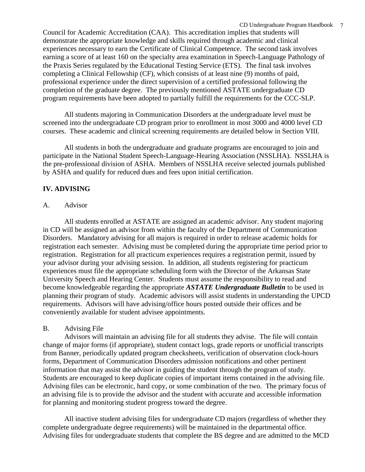Council for Academic Accreditation (CAA). This accreditation implies that students will demonstrate the appropriate knowledge and skills required through academic and clinical experiences necessary to earn the Certificate of Clinical Competence. The second task involves earning a score of at least 160 on the specialty area examination in Speech-Language Pathology of the Praxis Series regulated by the Educational Testing Service (ETS). The final task involves completing a Clinical Fellowship (CF), which consists of at least nine (9) months of paid, professional experience under the direct supervision of a certified professional following the completion of the graduate degree. The previously mentioned ASTATE undergraduate CD program requirements have been adopted to partially fulfill the requirements for the CCC-SLP.

All students majoring in Communication Disorders at the undergraduate level must be screened into the undergraduate CD program prior to enrollment in most 3000 and 4000 level CD courses. These academic and clinical screening requirements are detailed below in Section VIII.

All students in both the undergraduate and graduate programs are encouraged to join and participate in the National Student Speech-Language-Hearing Association (NSSLHA). NSSLHA is the pre-professional division of ASHA. Members of NSSLHA receive selected journals published by ASHA and qualify for reduced dues and fees upon initial certification.

### **IV. ADVISING**

### A. Advisor

All students enrolled at ASTATE are assigned an academic advisor. Any student majoring in CD will be assigned an advisor from within the faculty of the Department of Communication Disorders. Mandatory advising for all majors is required in order to release academic holds for registration each semester. Advising must be completed during the appropriate time period prior to registration. Registration for all practicum experiences requires a registration permit, issued by your advisor during your advising session. In addition, all students registering for practicum experiences must file the appropriate scheduling form with the Director of the Arkansas State University Speech and Hearing Center. Students must assume the responsibility to read and become knowledgeable regarding the appropriate *ASTATE Undergraduate Bulletin* to be used in planning their program of study. Academic advisors will assist students in understanding the UPCD requirements. Advisors will have advising/office hours posted outside their offices and be conveniently available for student advisee appointments.

### B. Advising File

Advisors will maintain an advising file for all students they advise. The file will contain change of major forms (if appropriate), student contact logs, grade reports or unofficial transcripts from Banner, periodically updated program checksheets, verification of observation clock-hours forms, Department of Communication Disorders admission notifications and other pertinent information that may assist the advisor in guiding the student through the program of study. Students are encouraged to keep duplicate copies of important items contained in the advising file. Advising files can be electronic, hard copy, or some combination of the two. The primary focus of an advising file is to provide the advisor and the student with accurate and accessible information for planning and monitoring student progress toward the degree.

All inactive student advising files for undergraduate CD majors (regardless of whether they complete undergraduate degree requirements) will be maintained in the departmental office. Advising files for undergraduate students that complete the BS degree and are admitted to the MCD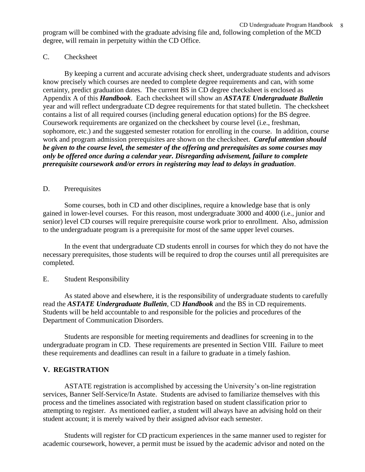program will be combined with the graduate advising file and, following completion of the MCD degree, will remain in perpetuity within the CD Office.

### C. Checksheet

By keeping a current and accurate advising check sheet, undergraduate students and advisors know precisely which courses are needed to complete degree requirements and can, with some certainty, predict graduation dates. The current BS in CD degree checksheet is enclosed as Appendix A of this *Handbook*. Each checksheet will show an *ASTATE Undergraduate Bulletin* year and will reflect undergraduate CD degree requirements for that stated bulletin. The checksheet contains a list of all required courses (including general education options) for the BS degree. Coursework requirements are organized on the checksheet by course level (i.e., freshman, sophomore, etc.) and the suggested semester rotation for enrolling in the course. In addition, course work and program admission prerequisites are shown on the checksheet. *Careful attention should be given to the course level, the semester of the offering and prerequisites as some courses may only be offered once during a calendar year. Disregarding advisement, failure to complete prerequisite coursework and/or errors in registering may lead to delays in graduation*.

### D. Prerequisites

Some courses, both in CD and other disciplines, require a knowledge base that is only gained in lower-level courses. For this reason, most undergraduate 3000 and 4000 (i.e., junior and senior) level CD courses will require prerequisite course work prior to enrollment. Also, admission to the undergraduate program is a prerequisite for most of the same upper level courses.

In the event that undergraduate CD students enroll in courses for which they do not have the necessary prerequisites, those students will be required to drop the courses until all prerequisites are completed.

### E. Student Responsibility

As stated above and elsewhere, it is the responsibility of undergraduate students to carefully read the *ASTATE Undergraduate Bulletin*, CD *Handbook* and the BS in CD requirements. Students will be held accountable to and responsible for the policies and procedures of the Department of Communication Disorders.

Students are responsible for meeting requirements and deadlines for screening in to the undergraduate program in CD. These requirements are presented in Section VIII. Failure to meet these requirements and deadlines can result in a failure to graduate in a timely fashion.

### **V. REGISTRATION**

ASTATE registration is accomplished by accessing the University's on-line registration services, Banner Self-Service/In Astate. Students are advised to familiarize themselves with this process and the timelines associated with registration based on student classification prior to attempting to register. As mentioned earlier, a student will always have an advising hold on their student account; it is merely waived by their assigned advisor each semester.

Students will register for CD practicum experiences in the same manner used to register for academic coursework, however, a permit must be issued by the academic advisor and noted on the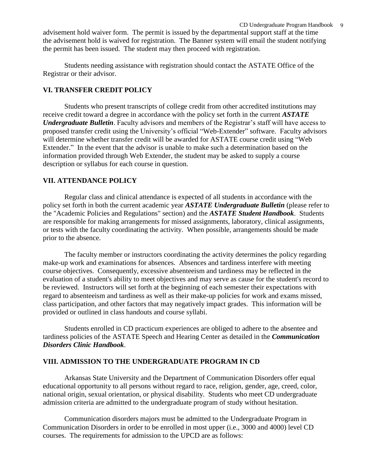advisement hold waiver form. The permit is issued by the departmental support staff at the time the advisement hold is waived for registration. The Banner system will email the student notifying the permit has been issued. The student may then proceed with registration.

Students needing assistance with registration should contact the ASTATE Office of the Registrar or their advisor.

### **VI. TRANSFER CREDIT POLICY**

Students who present transcripts of college credit from other accredited institutions may receive credit toward a degree in accordance with the policy set forth in the current *ASTATE Undergraduate Bulletin*. Faculty advisors and members of the Registrar's staff will have access to proposed transfer credit using the University's official "Web-Extender" software. Faculty advisors will determine whether transfer credit will be awarded for ASTATE course credit using "Web Extender." In the event that the advisor is unable to make such a determination based on the information provided through Web Extender, the student may be asked to supply a course description or syllabus for each course in question.

### **VII. ATTENDANCE POLICY**

Regular class and clinical attendance is expected of all students in accordance with the policy set forth in both the current academic year *ASTATE Undergraduate Bulletin* (please refer to the "Academic Policies and Regulations" section) and the *ASTATE Student Handbook*. Students are responsible for making arrangements for missed assignments, laboratory, clinical assignments, or tests with the faculty coordinating the activity. When possible, arrangements should be made prior to the absence.

The faculty member or instructors coordinating the activity determines the policy regarding make-up work and examinations for absences. Absences and tardiness interfere with meeting course objectives. Consequently, excessive absenteeism and tardiness may be reflected in the evaluation of a student's ability to meet objectives and may serve as cause for the student's record to be reviewed. Instructors will set forth at the beginning of each semester their expectations with regard to absenteeism and tardiness as well as their make-up policies for work and exams missed, class participation, and other factors that may negatively impact grades. This information will be provided or outlined in class handouts and course syllabi.

Students enrolled in CD practicum experiences are obliged to adhere to the absentee and tardiness policies of the ASTATE Speech and Hearing Center as detailed in the *Communication Disorders Clinic Handbook*.

### **VIII. ADMISSION TO THE UNDERGRADUATE PROGRAM IN CD**

Arkansas State University and the Department of Communication Disorders offer equal educational opportunity to all persons without regard to race, religion, gender, age, creed, color, national origin, sexual orientation, or physical disability. Students who meet CD undergraduate admission criteria are admitted to the undergraduate program of study without hesitation.

Communication disorders majors must be admitted to the Undergraduate Program in Communication Disorders in order to be enrolled in most upper (i.e., 3000 and 4000) level CD courses. The requirements for admission to the UPCD are as follows: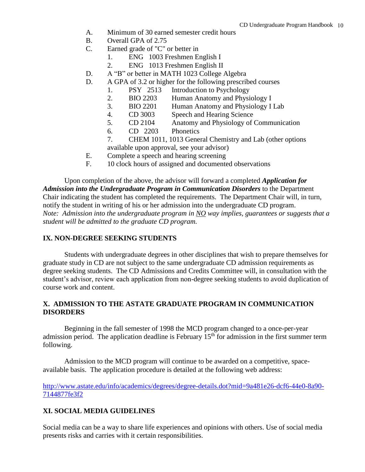- A. Minimum of 30 earned semester credit hours
- B. Overall GPA of 2.75
- C. Earned grade of "C" or better in
	- 1. ENG 1003 Freshmen English I
	- 2. ENG 1013 Freshmen English II
- D. A "B" or better in MATH 1023 College Algebra
- D. A GPA of 3.2 or higher for the following prescribed courses
	- 1. PSY 2513 Introduction to Psychology
	- 2. BIO 2203 Human Anatomy and Physiology I
	- 3. BIO 2201 Human Anatomy and Physiology I Lab
	- 4. CD 3003 Speech and Hearing Science
	- 5. CD 2104 Anatomy and Physiology of Communication
	- 6. CD 2203 Phonetics
	- 7. CHEM 1011, 1013 General Chemistry and Lab (other options
	- available upon approval, see your advisor)
- E. Complete a speech and hearing screening
- F. 10 clock hours of assigned and documented observations

Upon completion of the above, the advisor will forward a completed *Application for Admission into the Undergraduate Program in Communication Disorders* to the Department Chair indicating the student has completed the requirements. The Department Chair will, in turn, notify the student in writing of his or her admission into the undergraduate CD program. *Note: Admission into the undergraduate program in NO way implies, guarantees or suggests that a student will be admitted to the graduate CD program.*

#### **IX. NON-DEGREE SEEKING STUDENTS**

Students with undergraduate degrees in other disciplines that wish to prepare themselves for graduate study in CD are not subject to the same undergraduate CD admission requirements as degree seeking students. The CD Admissions and Credits Committee will, in consultation with the student's advisor, review each application from non-degree seeking students to avoid duplication of course work and content.

### **X. ADMISSION TO THE ASTATE GRADUATE PROGRAM IN COMMUNICATION DISORDERS**

Beginning in the fall semester of 1998 the MCD program changed to a once-per-year admission period. The application deadline is February  $15<sup>th</sup>$  for admission in the first summer term following.

Admission to the MCD program will continue to be awarded on a competitive, spaceavailable basis. The application procedure is detailed at the following web address:

[http://www.astate.edu/info/academics/degrees/degree-details.dot?mid=9a481e26-dcf6-44e0-8a90-](http://www.astate.edu/info/academics/degrees/degree-details.dot?mid=9a481e26-dcf6-44e0-8a90-7144877fe3f2) [7144877fe3f2](http://www.astate.edu/info/academics/degrees/degree-details.dot?mid=9a481e26-dcf6-44e0-8a90-7144877fe3f2)

### **XI. SOCIAL MEDIA GUIDELINES**

Social media can be a way to share life experiences and opinions with others. Use of social media presents risks and carries with it certain responsibilities.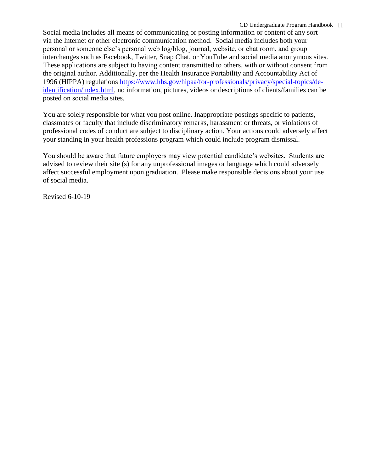Social media includes all means of communicating or posting information or content of any sort via the Internet or other electronic communication method. Social media includes both your personal or someone else's personal web log/blog, journal, website, or chat room, and group interchanges such as Facebook, Twitter, Snap Chat, or YouTube and social media anonymous sites. These applications are subject to having content transmitted to others, with or without consent from the original author. Additionally, per the Health Insurance Portability and Accountability Act of 1996 (HIPPA) regulations [https://www.hhs.gov/hipaa/for-professionals/privacy/special-topics/de](https://www.hhs.gov/hipaa/for-professionals/privacy/special-topics/de-identification/index.html)[identification/index.html,](https://www.hhs.gov/hipaa/for-professionals/privacy/special-topics/de-identification/index.html) no information, pictures, videos or descriptions of clients/families can be posted on social media sites.

You are solely responsible for what you post online. Inappropriate postings specific to patients, classmates or faculty that include discriminatory remarks, harassment or threats, or violations of professional codes of conduct are subject to disciplinary action. Your actions could adversely affect your standing in your health professions program which could include program dismissal.

You should be aware that future employers may view potential candidate's websites. Students are advised to review their site (s) for any unprofessional images or language which could adversely affect successful employment upon graduation. Please make responsible decisions about your use of social media.

Revised 6-10-19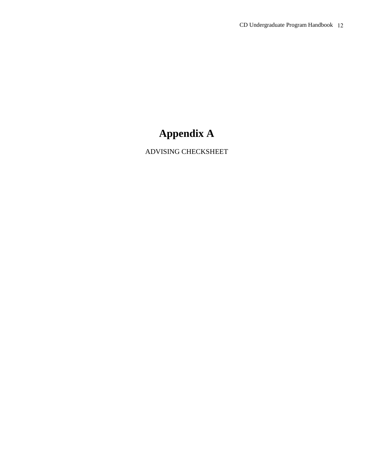## **Appendix A**

ADVISING CHECKSHEET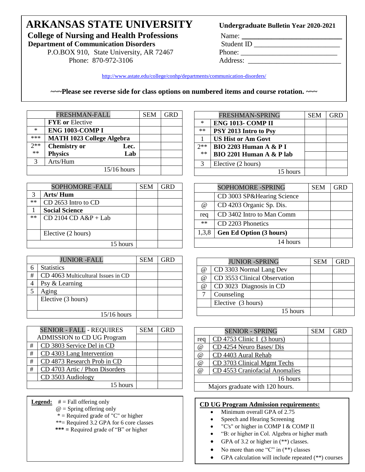# **ARKANSAS STATE UNIVERSITY College of Nursing and Health Professions** Name: **\_\_\_\_\_\_\_\_\_\_\_\_\_\_\_\_\_\_\_\_\_\_\_\_\_\_\_\_\_\_**<br>Department of Communication Disorders Student ID

**Department of Communication Disorders** 

P.O.BOX 910, State University, AR 72467 Phone: \_\_\_\_\_\_\_\_\_\_\_\_\_\_\_\_\_\_\_\_\_\_\_\_\_\_\_\_\_\_\_\_\_ Phone: 870-972-3106 Address: \_\_\_\_\_\_\_\_\_\_\_\_\_\_\_\_\_\_\_\_\_\_\_\_\_\_

### Undergraduate Bulletin Year 2020-2021

<http://www.astate.edu/college/conhp/departments/communication-disorders/>

**~~~Please see reverse side for class options on numbered items and course rotation. ~~~**

|        | FRESHMAN-FALL                    |      | <b>SEM</b> | <b>GRD</b> |
|--------|----------------------------------|------|------------|------------|
|        | <b>FYE</b> or Elective           |      |            |            |
| $\ast$ | <b>ENG 1003-COMP I</b>           |      |            |            |
| ***    | <b>MATH 1023 College Algebra</b> |      |            |            |
| $2**$  | <b>Chemistry or</b>              | Lec. |            |            |
| **     | <b>Physics</b>                   | Lab  |            |            |
| 3      | Arts/Hum                         |      |            |            |
|        | 15/16 hours                      |      |            |            |
|        |                                  |      |            |            |

|      | <b>SOPHOMORE -FALL</b>   | <b>SEM</b> | <b>GRD</b> |
|------|--------------------------|------------|------------|
|      | Arts/Hum                 |            |            |
| $**$ | CD 2653 Intro to CD      |            |            |
|      | <b>Social Science</b>    |            |            |
| $**$ | $CD$ 2104 $CD$ A&P + Lab |            |            |
|      |                          |            |            |
|      | Elective (2 hours)       |            |            |
|      | 15 hours                 |            |            |

|   | <b>JUNIOR -FALL</b>                | <b>SEM</b> |  |
|---|------------------------------------|------------|--|
|   | <b>Statistics</b>                  |            |  |
| # | CD 4063 Multicultural Issues in CD |            |  |
|   | Psy & Learning                     |            |  |
| 5 | Aging                              |            |  |
|   | Elective (3 hours)                 |            |  |
|   |                                    |            |  |
|   | $15/16$ hours                      |            |  |

|   | <b>SENIOR - FALL - REQUIRES</b>   | <b>SEM</b> | <b>GRD</b> |
|---|-----------------------------------|------------|------------|
|   | <b>ADMISSION</b> to CD UG Program |            |            |
| # | CD 3803 Service Del in CD         |            |            |
| # | CD 4303 Lang Intervention         |            |            |
| # | CD 4873 Research Prob in CD       |            |            |
| # | CD 4703 Artic / Phon Disorders    |            |            |
|   | CD 3503 Audiology                 |            |            |
|   | 15 hours                          |            |            |

- **Legend:** # = Fall offering only
	- $@ =$  Spring offering only
	- \* = Required grade of "C" or higher
	- \*\*= Required 3.2 GPA for 6 core classes
	- **\*\*\* =** Required grade of "B" or higher

|        | FRESHMAN-SPRING                   | <b>SEM</b> | <b>GRD</b> |
|--------|-----------------------------------|------------|------------|
| $\ast$ | <b>ENG 1013- COMP II</b>          |            |            |
| $**$   | PSY 2013 Intro to Psy             |            |            |
|        | <b>US Hist or Am Govt</b>         |            |            |
| $2**$  | <b>BIO 2203 Human A &amp; P I</b> |            |            |
| **     | BIO 2201 Human A & P lab          |            |            |
| 3      | Elective (2 hours)                |            |            |
|        | 15 hours                          |            |            |

|       | <b>SOPHOMORE -SPRING</b>       | <b>SEM</b> | GRD |
|-------|--------------------------------|------------|-----|
|       | CD 3003 SP&Hearing Science     |            |     |
| @     | CD 4203 Organic Sp. Dis.       |            |     |
| req   | CD 3402 Intro to Man Comm      |            |     |
| **    | CD 2203 Phonetics              |            |     |
| 1,3,8 | <b>Gen Ed Option (3 hours)</b> |            |     |
|       | 14 hours                       |            |     |

|          | <b>JUNIOR -SPRING</b>        | <b>SEM</b> | GRD |
|----------|------------------------------|------------|-----|
| @        | CD 3303 Normal Lang Dev      |            |     |
| @        | CD 3553 Clinical Observation |            |     |
| $\omega$ | CD 3023 Diagnosis in CD      |            |     |
|          | Counseling                   |            |     |
|          | Elective (3 hours)           |            |     |
|          | 15 hours                     |            |     |

|          | <b>SENIOR - SPRING</b>          | <b>SEM</b> | <b>GRD</b> |
|----------|---------------------------------|------------|------------|
| req      | $CD$ 4753 Clinic I (3 hours)    |            |            |
| $\omega$ | CD 4254 Neuro Bases/ Dis        |            |            |
| @        | CD 4403 Aural Rehab             |            |            |
| $\omega$ | CD 3703 Clinical Mgmt Techs     |            |            |
| @        | CD 4553 Craniofacial Anomalies  |            |            |
|          | 16 hours                        |            |            |
|          | Majors graduate with 120 hours. |            |            |

#### **CD UG Program Admission requirements:**

- Minimum overall GPA of 2.75
- Speech and Hearing Screening
- "C's" or higher in COMP I & COMP II
- "B: or higher in Col. Algebra or higher math
- GPA of 3.2 or higher in  $(**)$  classes.
- No more than one "C" in  $(**)$  classes
- GPA calculation will include repeated (\*\*) courses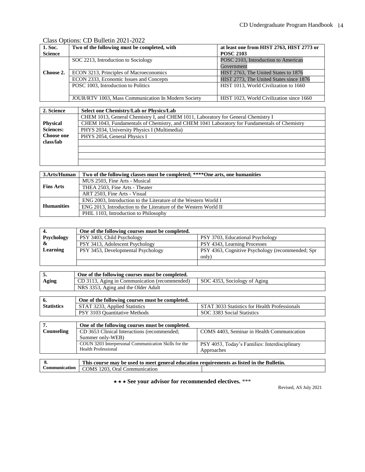### Class Options: CD Bulletin 2021-2022

| 1. Soc.                             | Two of the following must be completed, with        | at least one from HIST 2763, HIST 2773 or |  |
|-------------------------------------|-----------------------------------------------------|-------------------------------------------|--|
| <b>Science</b>                      |                                                     | <b>POSC 2103</b>                          |  |
|                                     | SOC 2213, Introduction to Sociology                 | POSC 2103, Introduction to American       |  |
|                                     |                                                     | Government                                |  |
| Choose 2.                           | ECON 3213, Principles of Macroeconomics             | HIST 2763, The United States to 1876      |  |
|                                     | ECON 2333, Economic Issues and Concepts             | HIST 2773, The United States since 1876   |  |
| POSC 1003, Introduction to Politics |                                                     | HIST 1013, World Civilization to 1660     |  |
|                                     |                                                     |                                           |  |
|                                     | JOUR/RTV 1003, Mass Communication In Modern Society | HIST 1023. World Civilization since 1660  |  |

| 2. Science        | Select one Chemistry/Lab or Physics/Lab                                                      |  |  |
|-------------------|----------------------------------------------------------------------------------------------|--|--|
|                   | CHEM 1013, General Chemistry I, and CHEM 1011, Laboratory for General Chemistry I            |  |  |
| <b>Physical</b>   | CHEM 1043, Fundamentals of Chemistry, and CHEM 1041 Laboratory for Fundamentals of Chemistry |  |  |
| <b>Sciences:</b>  | PHYS 2034, University Physics I (Multimedia)                                                 |  |  |
| <b>Choose one</b> | PHYS 2054, General Physics I                                                                 |  |  |
| class/lab         |                                                                                              |  |  |
|                   |                                                                                              |  |  |
|                   |                                                                                              |  |  |
|                   |                                                                                              |  |  |

| 3.Arts/Human      | Two of the following classes must be completed; ****One arts, one humanities |  |
|-------------------|------------------------------------------------------------------------------|--|
|                   | MUS 2503, Fine Arts - Musical                                                |  |
| <b>Fins Arts</b>  | THEA 2503, Fine Arts - Theater                                               |  |
|                   | ART 2503. Fine Arts - Visual                                                 |  |
|                   | ENG 2003, Introduction to the Literature of the Western World I              |  |
| <b>Humanities</b> | ENG 2013, Introduction to the Literature of the Western World II             |  |
|                   | PHIL 1103, Introduction to Philosophy                                        |  |

|            | One of the following courses must be completed.                 |                                                  |  |
|------------|-----------------------------------------------------------------|--------------------------------------------------|--|
| Psychology | PSY 3403, Child Psychology                                      | PSY 3703, Educational Psychology                 |  |
|            | PSY 3413, Adolescent Psychology<br>PSY 4343, Learning Processes |                                                  |  |
| Learning   | PSY 3453, Developmental Psychology                              | PSY 4363, Cognitive Psychology (recommended; Spr |  |
|            |                                                                 | only)                                            |  |
|            |                                                                 |                                                  |  |

|       | One of the following courses must be completed. |                              |  |
|-------|-------------------------------------------------|------------------------------|--|
| Aging | CD 3113, Aging in Communication (recommended)   | SOC 4353, Sociology of Aging |  |
|       | NRS 3353, Aging and the Older Adult             |                              |  |
|       |                                                 |                              |  |

|                   | One of the following courses must be completed. |                                               |
|-------------------|-------------------------------------------------|-----------------------------------------------|
| <b>Statistics</b> | STAT 3233, Applied Statistics                   | STAT 3033 Statistics for Health Professionals |
|                   | PSY 3103 Ouantitative Methods                   | SOC 3383 Social Statistics                    |

|            | One of the following courses must be completed.      |                                                      |  |
|------------|------------------------------------------------------|------------------------------------------------------|--|
| Counseling | CD 3653 Clinical Interactions (recommended;          | COMS 4403, Seminar in Health Communication           |  |
|            | Summer only-WEB)                                     |                                                      |  |
|            | COUN 3203 Interpersonal Communication Skills for the | <b>PSY 4053, Today's Families: Interdisciplinary</b> |  |
|            | Health Professional                                  | Approaches                                           |  |
|            |                                                      |                                                      |  |

| о. | This course may be used to meet general education requirements as listed in the Bulletin. |  |
|----|-------------------------------------------------------------------------------------------|--|
|    | <b>Communication</b> COMS 1203, Oral Communication                                        |  |

 $\star \star \star$  **See your advisor for recommended electives.** \*\*\*

Revised, AS July 2021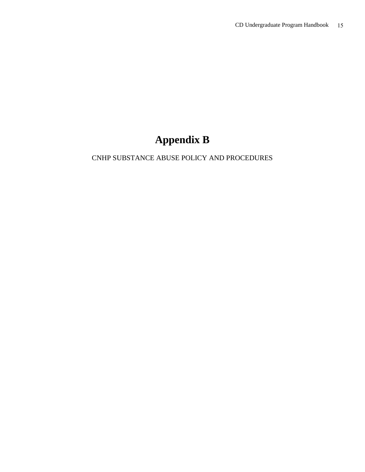## **Appendix B**

### CNHP SUBSTANCE ABUSE POLICY AND PROCEDURES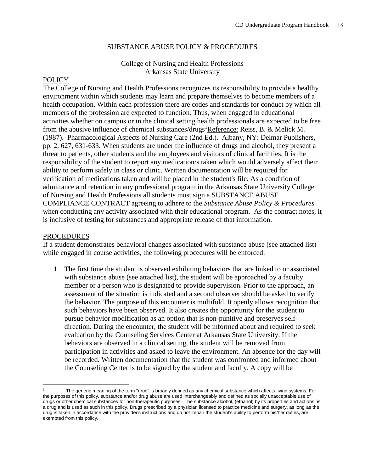### SUBSTANCE ABUSE POLICY & PROCEDURES

### College of Nursing and Health Professions Arkansas State University

### **POLICY**

The College of Nursing and Health Professions recognizes its responsibility to provide a healthy environment within which students may learn and prepare themselves to become members of a health occupation. Within each profession there are codes and standards for conduct by which all members of the profession are expected to function. Thus, when engaged in educational activities whether on campus or in the clinical setting health professionals are expected to be free from the abusive influence of chemical substances/drugs<sup>1</sup>Reference: Reiss, B. & Melick M. (1987). Pharmacological Aspects of Nursing Care (2nd Ed.). Albany, NY: Delmar Publishers, pp. 2, 627, 631-633. When students are under the influence of drugs and alcohol, they present a threat to patients, other students and the employees and visitors of clinical facilities. It is the responsibility of the student to report any medication/s taken which would adversely affect their ability to perform safely in class or clinic. Written documentation will be required for verification of medications taken and will be placed in the student's file. As a condition of admittance and retention in any professional program in the Arkansas State University College of Nursing and Health Professions all students must sign a SUBSTANCE ABUSE COMPLIANCE CONTRACT agreeing to adhere to the *Substance Abuse Policy & Procedures* when conducting any activity associated with their educational program. As the contract notes, it is inclusive of testing for substances and appropriate release of that information.

#### PROCEDURES

 $\overline{a}$ 

If a student demonstrates behavioral changes associated with substance abuse (see attached list) while engaged in course activities, the following procedures will be enforced:

1. The first time the student is observed exhibiting behaviors that are linked to or associated with substance abuse (see attached list), the student will be approached by a faculty member or a person who is designated to provide supervision. Prior to the approach, an assessment of the situation is indicated and a second observer should be asked to verify the behavior. The purpose of this encounter is multifold. It openly allows recognition that such behaviors have been observed. It also creates the opportunity for the student to pursue behavior modification as an option that is non-punitive and preserves selfdirection. During the encounter, the student will be informed about and required to seek evaluation by the Counseling Services Center at Arkansas State University. If the behaviors are observed in a clinical setting, the student will be removed from participation in activities and asked to leave the environment. An absence for the day will be recorded. Written documentation that the student was confronted and informed about the Counseling Center is to be signed by the student and faculty. A copy will be

The generic meaning of the term "drug" is broadly defined as any chemical substance which affects living systems. For the purposes of this policy, substance and/or drug abuse are used interchangeably and defined as socially unacceptable use of drugs or other chemical substances for non-therapeutic purposes. The substance alcohol, (ethanol) by its properties and actions, is a drug and is used as such in this policy. Drugs prescribed by a physician licensed to practice medicine and surgery, as long as the drug is taken in accordance with the provider's instructions and do not impair the student's ability to perform his/her duties, are exempted from this policy.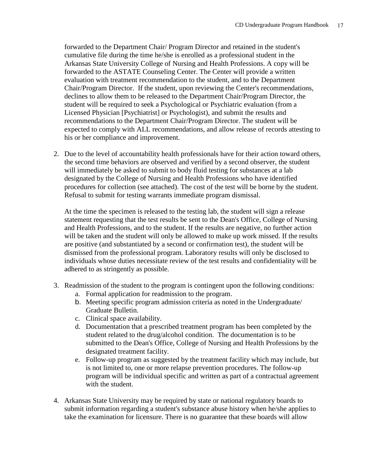forwarded to the Department Chair/ Program Director and retained in the student's cumulative file during the time he/she is enrolled as a professional student in the Arkansas State University College of Nursing and Health Professions. A copy will be forwarded to the ASTATE Counseling Center. The Center will provide a written evaluation with treatment recommendation to the student, and to the Department Chair/Program Director. If the student, upon reviewing the Center's recommendations, declines to allow them to be released to the Department Chair/Program Director, the student will be required to seek a Psychological or Psychiatric evaluation (from a Licensed Physician [Psychiatrist] or Psychologist), and submit the results and recommendations to the Department Chair/Program Director. The student will be expected to comply with ALL recommendations, and allow release of records attesting to his or her compliance and improvement.

2. Due to the level of accountability health professionals have for their action toward others, the second time behaviors are observed and verified by a second observer, the student will immediately be asked to submit to body fluid testing for substances at a lab designated by the College of Nursing and Health Professions who have identified procedures for collection (see attached). The cost of the test will be borne by the student. Refusal to submit for testing warrants immediate program dismissal.

At the time the specimen is released to the testing lab, the student will sign a release statement requesting that the test results be sent to the Dean's Office, College of Nursing and Health Professions, and to the student. If the results are negative, no further action will be taken and the student will only be allowed to make up work missed. If the results are positive (and substantiated by a second or confirmation test), the student will be dismissed from the professional program. Laboratory results will only be disclosed to individuals whose duties necessitate review of the test results and confidentiality will be adhered to as stringently as possible.

- 3. Readmission of the student to the program is contingent upon the following conditions:
	- a. Formal application for readmission to the program.
	- b. Meeting specific program admission criteria as noted in the Undergraduate/ Graduate Bulletin.
	- c. Clinical space availability.
	- d. Documentation that a prescribed treatment program has been completed by the student related to the drug/alcohol condition. The documentation is to be submitted to the Dean's Office, College of Nursing and Health Professions by the designated treatment facility.
	- e. Follow-up program as suggested by the treatment facility which may include, but is not limited to, one or more relapse prevention procedures. The follow-up program will be individual specific and written as part of a contractual agreement with the student.
- 4. Arkansas State University may be required by state or national regulatory boards to submit information regarding a student's substance abuse history when he/she applies to take the examination for licensure. There is no guarantee that these boards will allow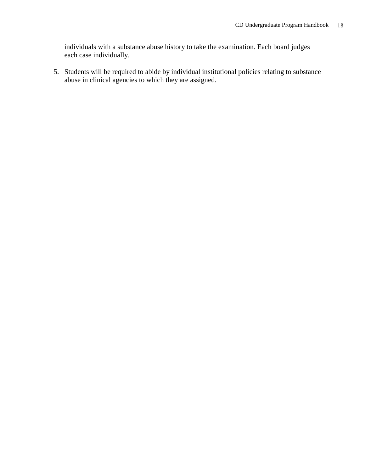individuals with a substance abuse history to take the examination. Each board judges each case individually.

5. Students will be required to abide by individual institutional policies relating to substance abuse in clinical agencies to which they are assigned.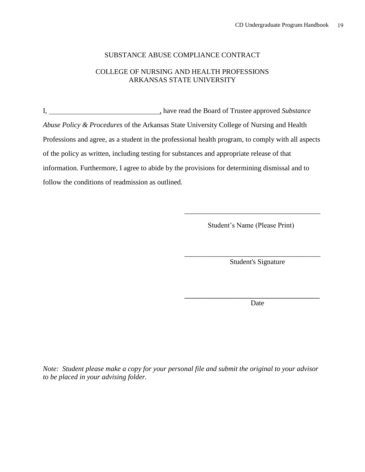### SUBSTANCE ABUSE COMPLIANCE CONTRACT

### COLLEGE OF NURSING AND HEALTH PROFESSIONS ARKANSAS STATE UNIVERSITY

I, , have read the Board of Trustee approved *Substance Abuse Policy & Procedures* of the Arkansas State University College of Nursing and Health Professions and agree, as a student in the professional health program, to comply with all aspects of the policy as written, including testing for substances and appropriate release of that information. Furthermore, I agree to abide by the provisions for determining dismissal and to follow the conditions of readmission as outlined.

Student's Name (Please Print)

\_\_\_\_\_\_\_\_\_\_\_\_\_\_\_\_\_\_\_\_\_\_\_\_\_\_\_\_\_\_\_\_\_\_\_\_\_\_

Student's Signature

\_\_\_\_\_\_\_\_\_\_\_\_\_\_\_\_\_\_\_\_\_\_\_\_\_\_\_\_\_\_\_\_\_\_\_\_\_\_

Date

\_\_\_\_\_\_\_\_\_\_\_\_\_\_\_\_\_\_\_\_\_\_\_\_\_\_\_\_\_\_\_\_\_\_

*Note: Student please make a copy for your personal file and submit the original to your advisor to be placed in your advising folder.*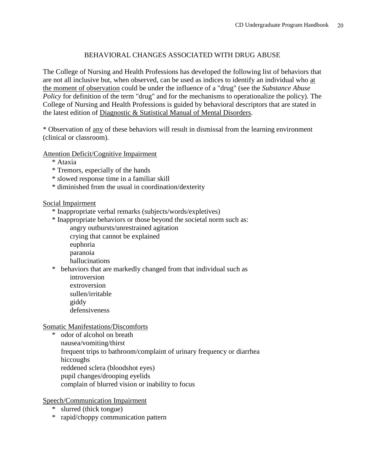### BEHAVIORAL CHANGES ASSOCIATED WITH DRUG ABUSE

The College of Nursing and Health Professions has developed the following list of behaviors that are not all inclusive but, when observed, can be used as indices to identify an individual who at the moment of observation could be under the influence of a "drug" (see the *Substance Abuse Policy* for definition of the term "drug" and for the mechanisms to operationalize the policy). The College of Nursing and Health Professions is guided by behavioral descriptors that are stated in the latest edition of Diagnostic & Statistical Manual of Mental Disorders.

\* Observation of any of these behaviors will result in dismissal from the learning environment (clinical or classroom).

Attention Deficit/Cognitive Impairment

- \* Ataxia
- \* Tremors, especially of the hands
- \* slowed response time in a familiar skill
- \* diminished from the usual in coordination/dexterity

### Social Impairment

- \* Inappropriate verbal remarks (subjects/words/expletives)
- \* Inappropriate behaviors or those beyond the societal norm such as: angry outbursts/unrestrained agitation crying that cannot be explained
	- euphoria
	- paranoia
	- hallucinations
- \* behaviors that are markedly changed from that individual such as introversion extroversion
	- sullen/irritable
	- giddy
	- defensiveness

Somatic Manifestations/Discomforts

\* odor of alcohol on breath nausea/vomiting/thirst frequent trips to bathroom/complaint of urinary frequency or diarrhea hiccoughs reddened sclera (bloodshot eyes) pupil changes/drooping eyelids complain of blurred vision or inability to focus

Speech/Communication Impairment

- \* slurred (thick tongue)
- \* rapid/choppy communication pattern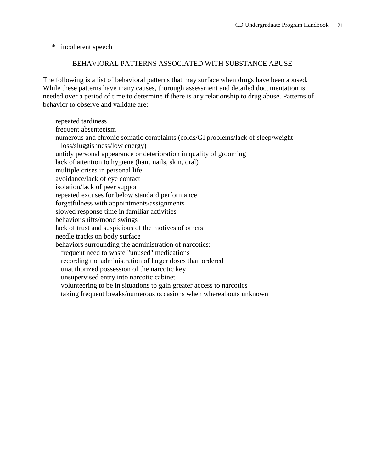\* incoherent speech

#### BEHAVIORAL PATTERNS ASSOCIATED WITH SUBSTANCE ABUSE

The following is a list of behavioral patterns that may surface when drugs have been abused. While these patterns have many causes, thorough assessment and detailed documentation is needed over a period of time to determine if there is any relationship to drug abuse. Patterns of behavior to observe and validate are:

 repeated tardiness frequent absenteeism numerous and chronic somatic complaints (colds/GI problems/lack of sleep/weight loss/sluggishness/low energy) untidy personal appearance or deterioration in quality of grooming lack of attention to hygiene (hair, nails, skin, oral) multiple crises in personal life avoidance/lack of eye contact isolation/lack of peer support repeated excuses for below standard performance forgetfulness with appointments/assignments slowed response time in familiar activities behavior shifts/mood swings lack of trust and suspicious of the motives of others needle tracks on body surface behaviors surrounding the administration of narcotics: frequent need to waste "unused" medications recording the administration of larger doses than ordered unauthorized possession of the narcotic key unsupervised entry into narcotic cabinet volunteering to be in situations to gain greater access to narcotics taking frequent breaks/numerous occasions when whereabouts unknown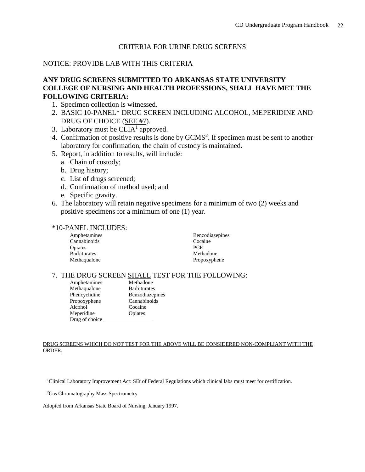### CRITERIA FOR URINE DRUG SCREENS

### NOTICE: PROVIDE LAB WITH THIS CRITERIA

### **ANY DRUG SCREENS SUBMITTED TO ARKANSAS STATE UNIVERSITY COLLEGE OF NURSING AND HEALTH PROFESSIONS, SHALL HAVE MET THE FOLLOWING CRITERIA:**

- 1. Specimen collection is witnessed.
- 2. BASIC 10-PANEL\* DRUG SCREEN INCLUDING ALCOHOL, MEPERIDINE AND DRUG OF CHOICE (SEE #7).
- 3. Laboratory must be  $CLIA<sup>1</sup>$  approved.
- 4. Confirmation of positive results is done by GCMS<sup>2</sup>. If specimen must be sent to another laboratory for confirmation, the chain of custody is maintained.
- 5. Report, in addition to results, will include:
	- a. Chain of custody;
	- b. Drug history;
	- c. List of drugs screened;
	- d. Confirmation of method used; and
	- e. Specific gravity.
- 6. The laboratory will retain negative specimens for a minimum of two (2) weeks and positive specimens for a minimum of one (1) year.

#### \*10-PANEL INCLUDES:

| Amphetamines        | <b>Benzodiazepines</b> |
|---------------------|------------------------|
| Cannabinoids        | Cocaine                |
| Opiates             | <b>PCP</b>             |
| <b>Barbiturates</b> | Methadone              |
| Methaqualone        | Propoxyphene           |

### 7. THE DRUG SCREEN SHALL TEST FOR THE FOLLOWING:

| Amphetamines   | Methadone           |
|----------------|---------------------|
| Methaqualone   | <b>Barbiturates</b> |
| Phencyclidine  | Benzodiazepines     |
| Propoxyphene   | Cannabinoids        |
| Alcohol        | Cocaine             |
| Meperidine     | Opiates             |
| Drug of choice |                     |

#### DRUG SCREENS WHICH DO NOT TEST FOR THE ABOVE WILL BE CONSIDERED NON-COMPLIANT WITH THE ORDER.

<sup>1</sup>Clinical Laboratory Improvement Act: SEt of Federal Regulations which clinical labs must meet for certification.

<sup>2</sup>Gas Chromatography Mass Spectrometry

Adopted from Arkansas State Board of Nursing, January 1997.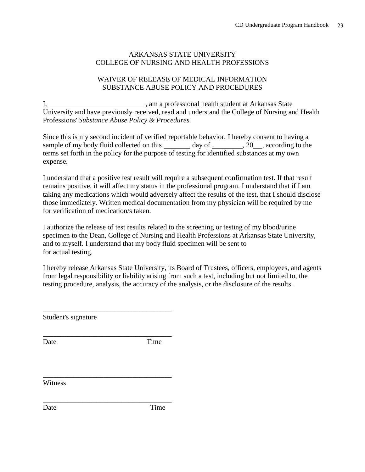### ARKANSAS STATE UNIVERSITY COLLEGE OF NURSING AND HEALTH PROFESSIONS

### WAIVER OF RELEASE OF MEDICAL INFORMATION SUBSTANCE ABUSE POLICY AND PROCEDURES

I, 1. Communication and the student at Arkansas State University and have previously received, read and understand the College of Nursing and Health Professions' *Substance Abuse Policy & Procedures.*

Since this is my second incident of verified reportable behavior, I hereby consent to having a sample of my body fluid collected on this  $\qquad \qquad$  day of  $\qquad \qquad$ , 20  $\qquad$ , according to the terms set forth in the policy for the purpose of testing for identified substances at my own expense.

I understand that a positive test result will require a subsequent confirmation test. If that result remains positive, it will affect my status in the professional program. I understand that if I am taking any medications which would adversely affect the results of the test, that I should disclose those immediately. Written medical documentation from my physician will be required by me for verification of medication/s taken.

I authorize the release of test results related to the screening or testing of my blood/urine specimen to the Dean, College of Nursing and Health Professions at Arkansas State University, and to myself. I understand that my body fluid specimen will be sent to for actual testing.

I hereby release Arkansas State University, its Board of Trustees, officers, employees, and agents from legal responsibility or liability arising from such a test, including but not limited to, the testing procedure, analysis, the accuracy of the analysis, or the disclosure of the results.

Student's signature

\_\_\_\_\_\_\_\_\_\_\_\_\_\_\_\_\_\_\_\_\_\_\_\_\_\_\_\_\_\_\_\_\_\_\_\_

\_\_\_\_\_\_\_\_\_\_\_\_\_\_\_\_\_\_\_\_\_\_\_\_\_\_\_\_\_\_\_\_\_\_\_\_

\_\_\_\_\_\_\_\_\_\_\_\_\_\_\_\_\_\_\_\_\_\_\_\_\_\_\_\_\_\_\_\_\_\_\_\_

\_\_\_\_\_\_\_\_\_\_\_\_\_\_\_\_\_\_\_\_\_\_\_\_\_\_\_\_\_\_\_\_\_\_\_\_

Date Time

**Witness** 

Date Time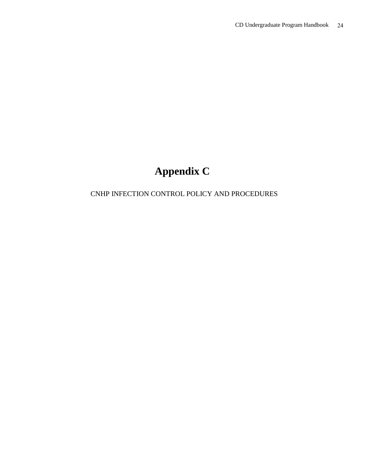## **Appendix C**

### CNHP INFECTION CONTROL POLICY AND PROCEDURES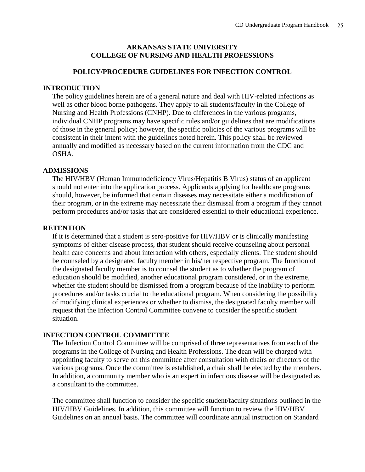### **ARKANSAS STATE UNIVERSITY COLLEGE OF NURSING AND HEALTH PROFESSIONS**

### **POLICY/PROCEDURE GUIDELINES FOR INFECTION CONTROL**

### **INTRODUCTION**

The policy guidelines herein are of a general nature and deal with HIV-related infections as well as other blood borne pathogens. They apply to all students/faculty in the College of Nursing and Health Professions (CNHP). Due to differences in the various programs, individual CNHP programs may have specific rules and/or guidelines that are modifications of those in the general policy; however, the specific policies of the various programs will be consistent in their intent with the guidelines noted herein. This policy shall be reviewed annually and modified as necessary based on the current information from the CDC and OSHA.

#### **ADMISSIONS**

The HIV/HBV (Human Immunodeficiency Virus/Hepatitis B Virus) status of an applicant should not enter into the application process. Applicants applying for healthcare programs should, however, be informed that certain diseases may necessitate either a modification of their program, or in the extreme may necessitate their dismissal from a program if they cannot perform procedures and/or tasks that are considered essential to their educational experience.

#### **RETENTION**

If it is determined that a student is sero-positive for HIV/HBV or is clinically manifesting symptoms of either disease process, that student should receive counseling about personal health care concerns and about interaction with others, especially clients. The student should be counseled by a designated faculty member in his/her respective program. The function of the designated faculty member is to counsel the student as to whether the program of education should be modified, another educational program considered, or in the extreme, whether the student should be dismissed from a program because of the inability to perform procedures and/or tasks crucial to the educational program. When considering the possibility of modifying clinical experiences or whether to dismiss, the designated faculty member will request that the Infection Control Committee convene to consider the specific student situation.

### **INFECTION CONTROL COMMITTEE**

The Infection Control Committee will be comprised of three representatives from each of the programs in the College of Nursing and Health Professions. The dean will be charged with appointing faculty to serve on this committee after consultation with chairs or directors of the various programs. Once the committee is established, a chair shall be elected by the members. In addition, a community member who is an expert in infectious disease will be designated as a consultant to the committee.

The committee shall function to consider the specific student/faculty situations outlined in the HIV/HBV Guidelines. In addition, this committee will function to review the HIV/HBV Guidelines on an annual basis. The committee will coordinate annual instruction on Standard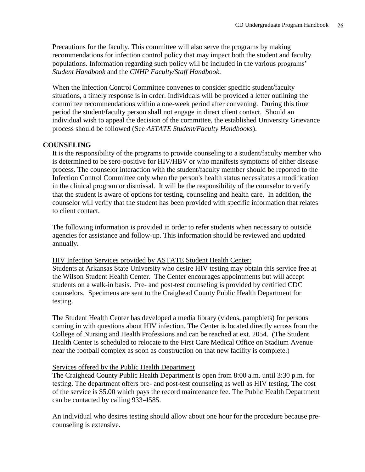Precautions for the faculty. This committee will also serve the programs by making recommendations for infection control policy that may impact both the student and faculty populations. Information regarding such policy will be included in the various programs' *Student Handbook* and the *CNHP Faculty/Staff Handbook*.

When the Infection Control Committee convenes to consider specific student/faculty situations, a timely response is in order. Individuals will be provided a letter outlining the committee recommendations within a one-week period after convening. During this time period the student/faculty person shall not engage in direct client contact. Should an individual wish to appeal the decision of the committee, the established University Grievance process should be followed (See *ASTATE Student/Faculty Handbooks*).

### **COUNSELING**

It is the responsibility of the programs to provide counseling to a student/faculty member who is determined to be sero-positive for HIV/HBV or who manifests symptoms of either disease process. The counselor interaction with the student/faculty member should be reported to the Infection Control Committee only when the person's health status necessitates a modification in the clinical program or dismissal. It will be the responsibility of the counselor to verify that the student is aware of options for testing, counseling and health care. In addition, the counselor will verify that the student has been provided with specific information that relates to client contact.

The following information is provided in order to refer students when necessary to outside agencies for assistance and follow-up. This information should be reviewed and updated annually.

### HIV Infection Services provided by ASTATE Student Health Center:

Students at Arkansas State University who desire HIV testing may obtain this service free at the Wilson Student Health Center. The Center encourages appointments but will accept students on a walk-in basis. Pre- and post-test counseling is provided by certified CDC counselors. Specimens are sent to the Craighead County Public Health Department for testing.

The Student Health Center has developed a media library (videos, pamphlets) for persons coming in with questions about HIV infection. The Center is located directly across from the College of Nursing and Health Professions and can be reached at ext. 2054. (The Student Health Center is scheduled to relocate to the First Care Medical Office on Stadium Avenue near the football complex as soon as construction on that new facility is complete.)

### Services offered by the Public Health Department

The Craighead County Public Health Department is open from 8:00 a.m. until 3:30 p.m. for testing. The department offers pre- and post-test counseling as well as HIV testing. The cost of the service is \$5.00 which pays the record maintenance fee. The Public Health Department can be contacted by calling 933-4585.

An individual who desires testing should allow about one hour for the procedure because precounseling is extensive.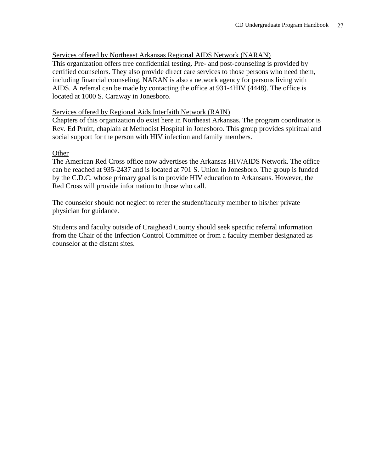#### Services offered by Northeast Arkansas Regional AIDS Network (NARAN)

This organization offers free confidential testing. Pre- and post-counseling is provided by certified counselors. They also provide direct care services to those persons who need them, including financial counseling. NARAN is also a network agency for persons living with AIDS. A referral can be made by contacting the office at 931-4HIV (4448). The office is located at 1000 S. Caraway in Jonesboro.

#### Services offered by Regional Aids Interfaith Network (RAIN)

Chapters of this organization do exist here in Northeast Arkansas. The program coordinator is Rev. Ed Pruitt, chaplain at Methodist Hospital in Jonesboro. This group provides spiritual and social support for the person with HIV infection and family members.

#### **Other**

The American Red Cross office now advertises the Arkansas HIV/AIDS Network. The office can be reached at 935-2437 and is located at 701 S. Union in Jonesboro. The group is funded by the C.D.C. whose primary goal is to provide HIV education to Arkansans. However, the Red Cross will provide information to those who call.

The counselor should not neglect to refer the student/faculty member to his/her private physician for guidance.

Students and faculty outside of Craighead County should seek specific referral information from the Chair of the Infection Control Committee or from a faculty member designated as counselor at the distant sites.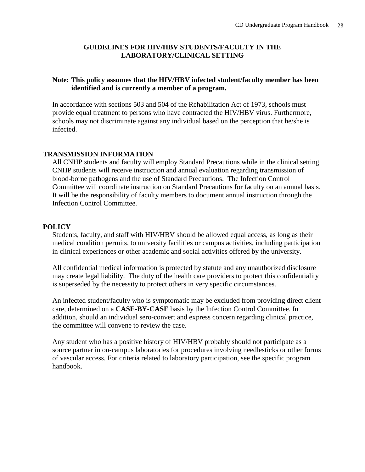### **GUIDELINES FOR HIV/HBV STUDENTS/FACULTY IN THE LABORATORY/CLINICAL SETTING**

### **Note: This policy assumes that the HIV/HBV infected student/faculty member has been identified and is currently a member of a program.**

In accordance with sections 503 and 504 of the Rehabilitation Act of 1973, schools must provide equal treatment to persons who have contracted the HIV/HBV virus. Furthermore, schools may not discriminate against any individual based on the perception that he/she is infected.

### **TRANSMISSION INFORMATION**

All CNHP students and faculty will employ Standard Precautions while in the clinical setting. CNHP students will receive instruction and annual evaluation regarding transmission of blood-borne pathogens and the use of Standard Precautions. The Infection Control Committee will coordinate instruction on Standard Precautions for faculty on an annual basis. It will be the responsibility of faculty members to document annual instruction through the Infection Control Committee.

### **POLICY**

Students, faculty, and staff with HIV/HBV should be allowed equal access, as long as their medical condition permits, to university facilities or campus activities, including participation in clinical experiences or other academic and social activities offered by the university.

All confidential medical information is protected by statute and any unauthorized disclosure may create legal liability. The duty of the health care providers to protect this confidentiality is superseded by the necessity to protect others in very specific circumstances.

An infected student/faculty who is symptomatic may be excluded from providing direct client care, determined on a **CASE-BY-CASE** basis by the Infection Control Committee. In addition, should an individual sero-convert and express concern regarding clinical practice, the committee will convene to review the case.

Any student who has a positive history of HIV/HBV probably should not participate as a source partner in on-campus laboratories for procedures involving needlesticks or other forms of vascular access. For criteria related to laboratory participation, see the specific program handbook.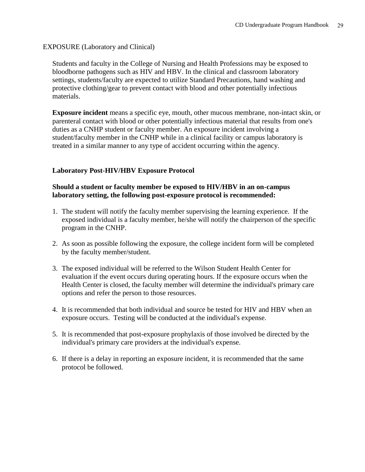### EXPOSURE (Laboratory and Clinical)

Students and faculty in the College of Nursing and Health Professions may be exposed to bloodborne pathogens such as HIV and HBV. In the clinical and classroom laboratory settings, students/faculty are expected to utilize Standard Precautions, hand washing and protective clothing/gear to prevent contact with blood and other potentially infectious materials.

**Exposure incident** means a specific eye, mouth, other mucous membrane, non-intact skin, or parenteral contact with blood or other potentially infectious material that results from one's duties as a CNHP student or faculty member. An exposure incident involving a student/faculty member in the CNHP while in a clinical facility or campus laboratory is treated in a similar manner to any type of accident occurring within the agency.

### **Laboratory Post-HIV/HBV Exposure Protocol**

### **Should a student or faculty member be exposed to HIV/HBV in an on-campus laboratory setting, the following post-exposure protocol is recommended:**

- 1. The student will notify the faculty member supervising the learning experience. If the exposed individual is a faculty member, he/she will notify the chairperson of the specific program in the CNHP.
- 2. As soon as possible following the exposure, the college incident form will be completed by the faculty member/student.
- 3. The exposed individual will be referred to the Wilson Student Health Center for evaluation if the event occurs during operating hours. If the exposure occurs when the Health Center is closed, the faculty member will determine the individual's primary care options and refer the person to those resources.
- 4. It is recommended that both individual and source be tested for HIV and HBV when an exposure occurs. Testing will be conducted at the individual's expense.
- 5. It is recommended that post-exposure prophylaxis of those involved be directed by the individual's primary care providers at the individual's expense.
- 6. If there is a delay in reporting an exposure incident, it is recommended that the same protocol be followed.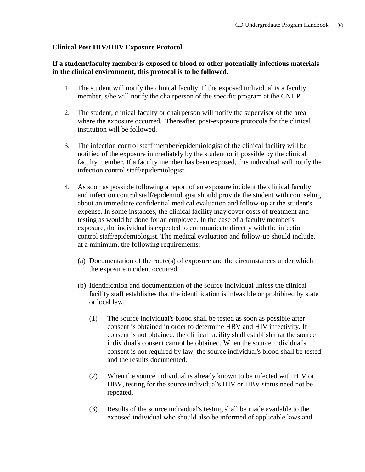### **Clinical Post HIV/HBV Exposure Protocol**

### **If a student/faculty member is exposed to blood or other potentially infectious materials in the clinical environment, this protocol is to be followed**.

- 1. The student will notify the clinical faculty. If the exposed individual is a faculty member, s/he will notify the chairperson of the specific program at the CNHP.
- 2. The student, clinical faculty or chairperson will notify the supervisor of the area where the exposure occurred. Thereafter, post-exposure protocols for the clinical institution will be followed.
- 3. The infection control staff member/epidemiologist of the clinical facility will be notified of the exposure immediately by the student or if possible by the clinical faculty member. If a faculty member has been exposed, this individual will notify the infection control staff/epidemiologist.
- 4. As soon as possible following a report of an exposure incident the clinical faculty and infection control staff/epidemiologist should provide the student with counseling about an immediate confidential medical evaluation and follow-up at the student's expense. In some instances, the clinical facility may cover costs of treatment and testing as would be done for an employee. In the case of a faculty member's exposure, the individual is expected to communicate directly with the infection control staff/epidemiologist. The medical evaluation and follow-up should include, at a minimum, the following requirements:
	- (a) Documentation of the route(s) of exposure and the circumstances under which the exposure incident occurred.
	- (b) Identification and documentation of the source individual unless the clinical facility staff establishes that the identification is infeasible or prohibited by state or local law.
		- (1) The source individual's blood shall be tested as soon as possible after consent is obtained in order to determine HBV and HIV infectivity. If consent is not obtained, the clinical facility shall establish that the source individual's consent cannot be obtained. When the source individual's consent is not required by law, the source individual's blood shall be tested and the results documented.
		- (2) When the source individual is already known to be infected with HIV or HBV, testing for the source individual's HIV or HBV status need not be repeated.
		- (3) Results of the source individual's testing shall be made available to the exposed individual who should also be informed of applicable laws and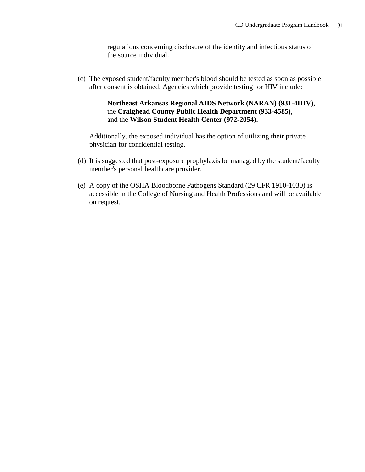regulations concerning disclosure of the identity and infectious status of the source individual.

(c) The exposed student/faculty member's blood should be tested as soon as possible after consent is obtained. Agencies which provide testing for HIV include:

### **Northeast Arkansas Regional AIDS Network (NARAN) (931-4HIV)**, the **Craighead County Public Health Department (933-4585)**, and the **Wilson Student Health Center (972-2054).**

Additionally, the exposed individual has the option of utilizing their private physician for confidential testing.

- (d) It is suggested that post-exposure prophylaxis be managed by the student/faculty member's personal healthcare provider.
- (e) A copy of the OSHA Bloodborne Pathogens Standard (29 CFR 1910-1030) is accessible in the College of Nursing and Health Professions and will be available on request.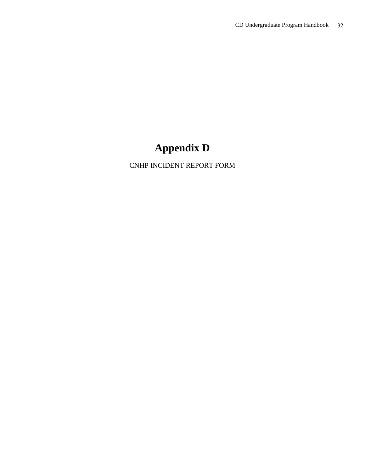## **Appendix D**

CNHP INCIDENT REPORT FORM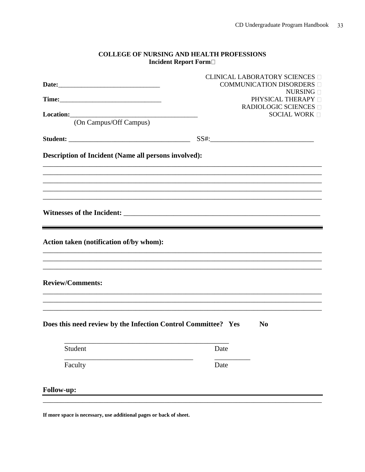#### **COLLEGE OF NURSING AND HEALTH PROFESSIONS** Incident Report Form

|                                                               |      | <b>CLINICAL LABORATORY SCIENCES</b><br>COMMUNICATION DISORDERS |
|---------------------------------------------------------------|------|----------------------------------------------------------------|
|                                                               |      | NURSING <b>D</b>                                               |
|                                                               |      | PHYSICAL THERAPY <sup>[]</sup>                                 |
|                                                               |      | <b>RADIOLOGIC SCIENCES</b> □<br><b>SOCIAL WORK</b>             |
| (On Campus/Off Campus)                                        |      |                                                                |
|                                                               |      |                                                                |
|                                                               |      |                                                                |
| Description of Incident (Name all persons involved):          |      |                                                                |
|                                                               |      |                                                                |
| Action taken (notification of/by whom):                       |      |                                                                |
| <b>Review/Comments:</b>                                       |      |                                                                |
| Does this need review by the Infection Control Committee? Yes |      | N <sub>0</sub>                                                 |
| Student                                                       | Date |                                                                |
| Faculty                                                       | Date |                                                                |
| Follow-up:                                                    |      |                                                                |

If more space is necessary, use additional pages or back of sheet.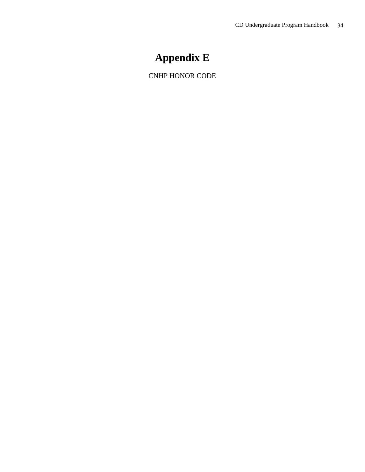## **Appendix E**

CNHP HONOR CODE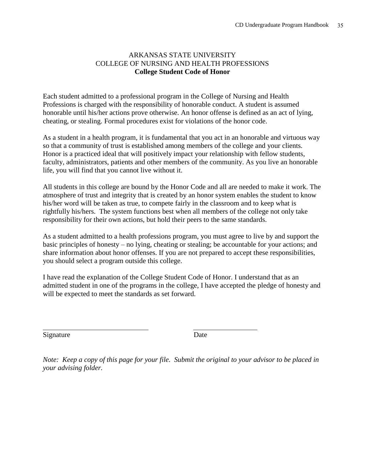### ARKANSAS STATE UNIVERSITY COLLEGE OF NURSING AND HEALTH PROFESSIONS **College Student Code of Honor**

Each student admitted to a professional program in the College of Nursing and Health Professions is charged with the responsibility of honorable conduct. A student is assumed honorable until his/her actions prove otherwise. An honor offense is defined as an act of lying, cheating, or stealing. Formal procedures exist for violations of the honor code.

As a student in a health program, it is fundamental that you act in an honorable and virtuous way so that a community of trust is established among members of the college and your clients. Honor is a practiced ideal that will positively impact your relationship with fellow students, faculty, administrators, patients and other members of the community. As you live an honorable life, you will find that you cannot live without it.

All students in this college are bound by the Honor Code and all are needed to make it work. The atmosphere of trust and integrity that is created by an honor system enables the student to know his/her word will be taken as true, to compete fairly in the classroom and to keep what is rightfully his/hers. The system functions best when all members of the college not only take responsibility for their own actions, but hold their peers to the same standards.

As a student admitted to a health professions program, you must agree to live by and support the basic principles of honesty – no lying, cheating or stealing; be accountable for your actions; and share information about honor offenses. If you are not prepared to accept these responsibilities, you should select a program outside this college.

I have read the explanation of the College Student Code of Honor. I understand that as an admitted student in one of the programs in the college, I have accepted the pledge of honesty and will be expected to meet the standards as set forward.

Signature Date

l

*Note: Keep a copy of this page for your file. Submit the original to your advisor to be placed in your advising folder.*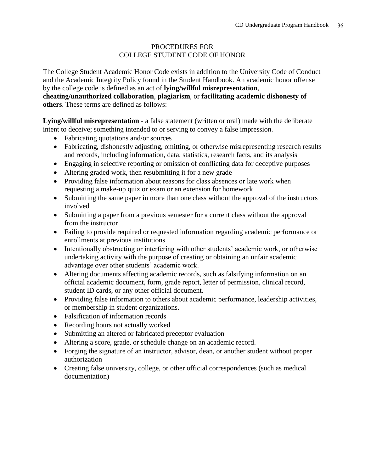### PROCEDURES FOR COLLEGE STUDENT CODE OF HONOR

The College Student Academic Honor Code exists in addition to the University Code of Conduct and the Academic Integrity Policy found in the Student Handbook. An academic honor offense by the college code is defined as an act of **lying/willful misrepresentation**,

**cheating/unauthorized collaboration**, **plagiarism**, or **facilitating academic dishonesty of others**. These terms are defined as follows:

**Lying/willful misrepresentation** - a false statement (written or oral) made with the deliberate intent to deceive; something intended to or serving to convey a false impression.

- Fabricating quotations and/or sources
- Fabricating, dishonestly adjusting, omitting, or otherwise misrepresenting research results and records, including information, data, statistics, research facts, and its analysis
- Engaging in selective reporting or omission of conflicting data for deceptive purposes
- Altering graded work, then resubmitting it for a new grade
- Providing false information about reasons for class absences or late work when requesting a make-up quiz or exam or an extension for homework
- Submitting the same paper in more than one class without the approval of the instructors involved
- Submitting a paper from a previous semester for a current class without the approval from the instructor
- Failing to provide required or requested information regarding academic performance or enrollments at previous institutions
- Intentionally obstructing or interfering with other students' academic work, or otherwise undertaking activity with the purpose of creating or obtaining an unfair academic advantage over other students' academic work.
- Altering documents affecting academic records, such as falsifying information on an official academic document, form, grade report, letter of permission, clinical record, student ID cards, or any other official document.
- Providing false information to others about academic performance, leadership activities, or membership in student organizations.
- Falsification of information records
- Recording hours not actually worked
- Submitting an altered or fabricated preceptor evaluation
- Altering a score, grade, or schedule change on an academic record.
- Forging the signature of an instructor, advisor, dean, or another student without proper authorization
- Creating false university, college, or other official correspondences (such as medical documentation)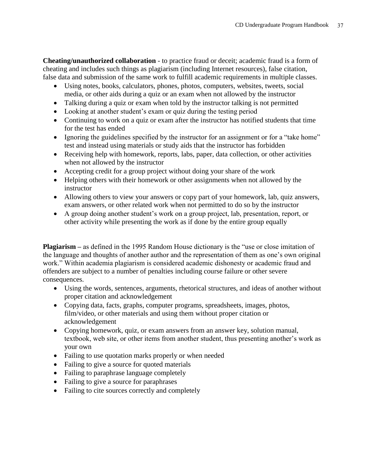**Cheating/unauthorized collaboration** - to practice fraud or deceit; academic fraud is a form of cheating and includes such things as plagiarism (including Internet resources), false citation, false data and submission of the same work to fulfill academic requirements in multiple classes.

- Using notes, books, calculators, phones, photos, computers, websites, tweets, social media, or other aids during a quiz or an exam when not allowed by the instructor
- Talking during a quiz or exam when told by the instructor talking is not permitted
- Looking at another student's exam or quiz during the testing period
- Continuing to work on a quiz or exam after the instructor has notified students that time for the test has ended
- Ignoring the guidelines specified by the instructor for an assignment or for a "take home" test and instead using materials or study aids that the instructor has forbidden
- Receiving help with homework, reports, labs, paper, data collection, or other activities when not allowed by the instructor
- Accepting credit for a group project without doing your share of the work
- Helping others with their homework or other assignments when not allowed by the instructor
- Allowing others to view your answers or copy part of your homework, lab, quiz answers, exam answers, or other related work when not permitted to do so by the instructor
- A group doing another student's work on a group project, lab, presentation, report, or other activity while presenting the work as if done by the entire group equally

**Plagiarism –** as defined in the 1995 Random House dictionary is the "use or close imitation of the language and thoughts of another author and the representation of them as one's own original work." Within academia plagiarism is considered academic dishonesty or academic fraud and offenders are subject to a number of penalties including course failure or other severe consequences.

- Using the words, sentences, arguments, rhetorical structures, and ideas of another without proper citation and acknowledgement
- Copying data, facts, graphs, computer programs, spreadsheets, images, photos, film/video, or other materials and using them without proper citation or acknowledgement
- Copying homework, quiz, or exam answers from an answer key, solution manual, textbook, web site, or other items from another student, thus presenting another's work as your own
- Failing to use quotation marks properly or when needed
- Failing to give a source for quoted materials
- Failing to paraphrase language completely
- Failing to give a source for paraphrases
- Failing to cite sources correctly and completely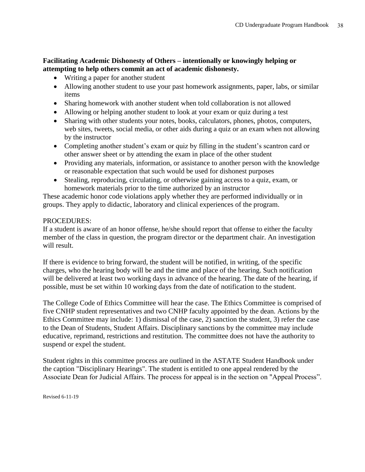### **Facilitating Academic Dishonesty of Others – intentionally or knowingly helping or attempting to help others commit an act of academic dishonesty.**

- Writing a paper for another student
- Allowing another student to use your past homework assignments, paper, labs, or similar items
- Sharing homework with another student when told collaboration is not allowed
- Allowing or helping another student to look at your exam or quiz during a test
- Sharing with other students your notes, books, calculators, phones, photos, computers, web sites, tweets, social media, or other aids during a quiz or an exam when not allowing by the instructor
- Completing another student's exam or quiz by filling in the student's scantron card or other answer sheet or by attending the exam in place of the other student
- Providing any materials, information, or assistance to another person with the knowledge or reasonable expectation that such would be used for dishonest purposes
- Stealing, reproducing, circulating, or otherwise gaining access to a quiz, exam, or homework materials prior to the time authorized by an instructor

These academic honor code violations apply whether they are performed individually or in groups. They apply to didactic, laboratory and clinical experiences of the program.

### PROCEDURES:

If a student is aware of an honor offense, he/she should report that offense to either the faculty member of the class in question, the program director or the department chair. An investigation will result.

If there is evidence to bring forward, the student will be notified, in writing, of the specific charges, who the hearing body will be and the time and place of the hearing. Such notification will be delivered at least two working days in advance of the hearing. The date of the hearing, if possible, must be set within 10 working days from the date of notification to the student.

The College Code of Ethics Committee will hear the case. The Ethics Committee is comprised of five CNHP student representatives and two CNHP faculty appointed by the dean. Actions by the Ethics Committee may include: 1) dismissal of the case, 2) sanction the student, 3) refer the case to the Dean of Students, Student Affairs. Disciplinary sanctions by the committee may include educative, reprimand, restrictions and restitution. The committee does not have the authority to suspend or expel the student.

Student rights in this committee process are outlined in the ASTATE Student Handbook under the caption "Disciplinary Hearings". The student is entitled to one appeal rendered by the Associate Dean for Judicial Affairs. The process for appeal is in the section on "Appeal Process".

Revised 6-11-19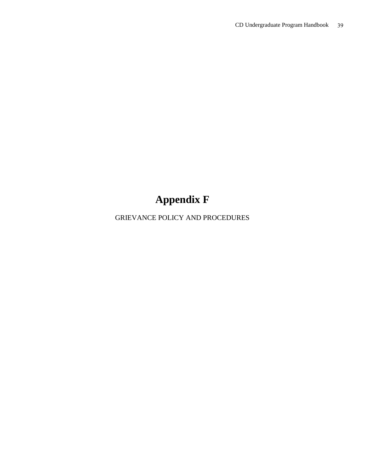# **Appendix F**

GRIEVANCE POLICY AND PROCEDURES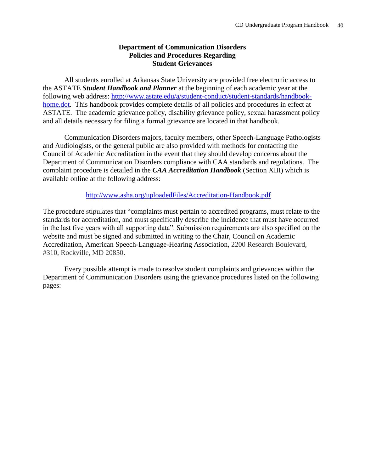### **Department of Communication Disorders Policies and Procedures Regarding Student Grievances**

All students enrolled at Arkansas State University are provided free electronic access to the ASTATE *Student Handbook and Planner* at the beginning of each academic year at the following web address: [http://www.astate.edu/a/student-conduct/student-standards/handbook](http://www.astate.edu/a/student-conduct/student-standards/handbook-home.dot)[home.dot.](http://www.astate.edu/a/student-conduct/student-standards/handbook-home.dot) This handbook provides complete details of all policies and procedures in effect at ASTATE. The academic grievance policy, disability grievance policy, sexual harassment policy and all details necessary for filing a formal grievance are located in that handbook.

Communication Disorders majors, faculty members, other Speech-Language Pathologists and Audiologists, or the general public are also provided with methods for contacting the Council of Academic Accreditation in the event that they should develop concerns about the Department of Communication Disorders compliance with CAA standards and regulations. The complaint procedure is detailed in the *CAA Accreditation Handbook* (Section XIII) which is available online at the following address:

<http://www.asha.org/uploadedFiles/Accreditation-Handbook.pdf>

The procedure stipulates that "complaints must pertain to accredited programs, must relate to the standards for accreditation, and must specifically describe the incidence that must have occurred in the last five years with all supporting data". Submission requirements are also specified on the website and must be signed and submitted in writing to the Chair, Council on Academic Accreditation, American Speech-Language-Hearing Association, 2200 Research Boulevard, #310, Rockville, MD 20850.

Every possible attempt is made to resolve student complaints and grievances within the Department of Communication Disorders using the grievance procedures listed on the following pages: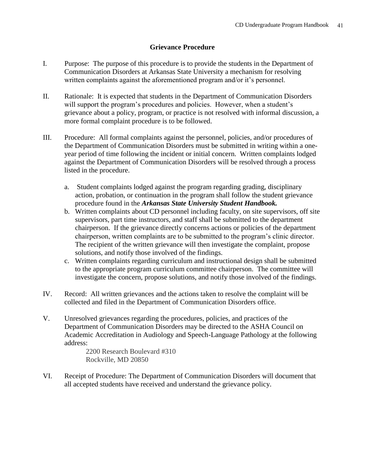### **Grievance Procedure**

- I. Purpose: The purpose of this procedure is to provide the students in the Department of Communication Disorders at Arkansas State University a mechanism for resolving written complaints against the aforementioned program and/or it's personnel.
- II. Rationale: It is expected that students in the Department of Communication Disorders will support the program's procedures and policies. However, when a student's grievance about a policy, program, or practice is not resolved with informal discussion, a more formal complaint procedure is to be followed.
- III. Procedure: All formal complaints against the personnel, policies, and/or procedures of the Department of Communication Disorders must be submitted in writing within a oneyear period of time following the incident or initial concern. Written complaints lodged against the Department of Communication Disorders will be resolved through a process listed in the procedure.
	- a. Student complaints lodged against the program regarding grading, disciplinary action, probation, or continuation in the program shall follow the student grievance procedure found in the *Arkansas State University Student Handbook.*
	- b. Written complaints about CD personnel including faculty, on site supervisors, off site supervisors, part time instructors, and staff shall be submitted to the department chairperson. If the grievance directly concerns actions or policies of the department chairperson, written complaints are to be submitted to the program's clinic director. The recipient of the written grievance will then investigate the complaint, propose solutions, and notify those involved of the findings.
	- c. Written complaints regarding curriculum and instructional design shall be submitted to the appropriate program curriculum committee chairperson. The committee will investigate the concern, propose solutions, and notify those involved of the findings.
- IV. Record: All written grievances and the actions taken to resolve the complaint will be collected and filed in the Department of Communication Disorders office.
- V. Unresolved grievances regarding the procedures, policies, and practices of the Department of Communication Disorders may be directed to the ASHA Council on Academic Accreditation in Audiology and Speech-Language Pathology at the following address:

2200 Research Boulevard #310 Rockville, MD 20850

VI. Receipt of Procedure: The Department of Communication Disorders will document that all accepted students have received and understand the grievance policy.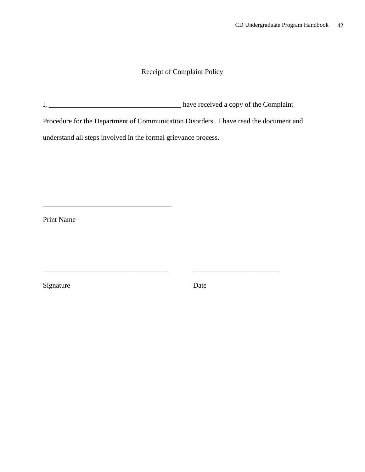### Receipt of Complaint Policy

I, \_\_\_\_\_\_\_\_\_\_\_\_\_\_\_\_\_\_\_\_\_\_\_\_\_\_\_\_\_\_\_\_\_\_\_\_\_ have received a copy of the Complaint

\_\_\_\_\_\_\_\_\_\_\_\_\_\_\_\_\_\_\_\_\_\_\_\_\_\_\_\_\_\_\_\_\_\_\_ \_\_\_\_\_\_\_\_\_\_\_\_\_\_\_\_\_\_\_\_\_\_\_\_

Procedure for the Department of Communication Disorders. I have read the document and

understand all steps involved in the formal grievance process.

\_\_\_\_\_\_\_\_\_\_\_\_\_\_\_\_\_\_\_\_\_\_\_\_\_\_\_\_\_\_\_\_\_\_\_\_

Print Name

Signature Date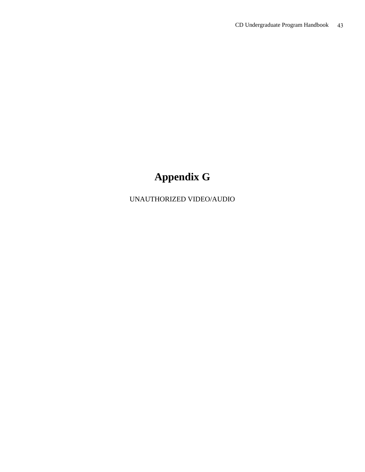# **Appendix G**

UNAUTHORIZED VIDEO/AUDIO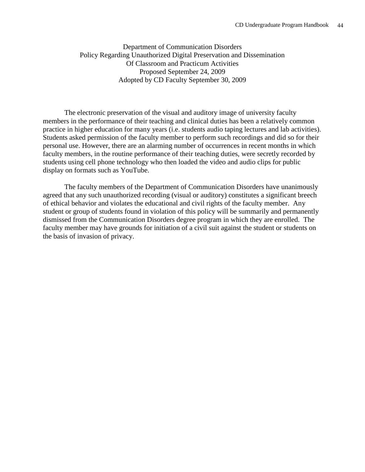Department of Communication Disorders Policy Regarding Unauthorized Digital Preservation and Dissemination Of Classroom and Practicum Activities Proposed September 24, 2009 Adopted by CD Faculty September 30, 2009

The electronic preservation of the visual and auditory image of university faculty members in the performance of their teaching and clinical duties has been a relatively common practice in higher education for many years (i.e. students audio taping lectures and lab activities). Students asked permission of the faculty member to perform such recordings and did so for their personal use. However, there are an alarming number of occurrences in recent months in which faculty members, in the routine performance of their teaching duties, were secretly recorded by students using cell phone technology who then loaded the video and audio clips for public display on formats such as YouTube.

The faculty members of the Department of Communication Disorders have unanimously agreed that any such unauthorized recording (visual or auditory) constitutes a significant breech of ethical behavior and violates the educational and civil rights of the faculty member. Any student or group of students found in violation of this policy will be summarily and permanently dismissed from the Communication Disorders degree program in which they are enrolled. The faculty member may have grounds for initiation of a civil suit against the student or students on the basis of invasion of privacy.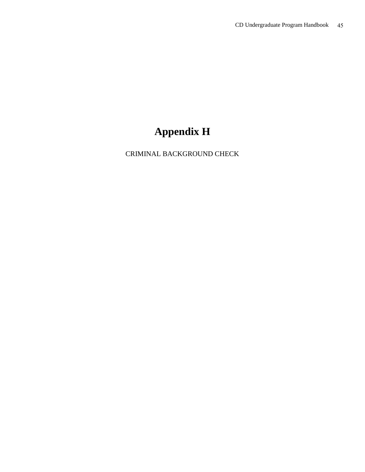## **Appendix H**

CRIMINAL BACKGROUND CHECK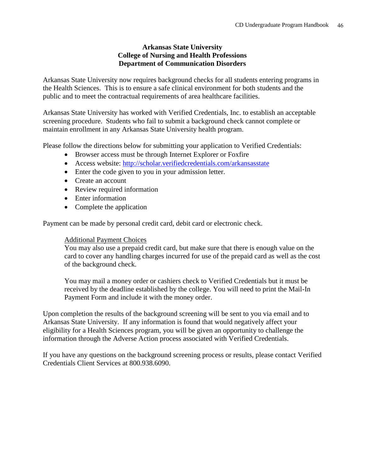### **Arkansas State University College of Nursing and Health Professions Department of Communication Disorders**

Arkansas State University now requires background checks for all students entering programs in the Health Sciences. This is to ensure a safe clinical environment for both students and the public and to meet the contractual requirements of area healthcare facilities.

Arkansas State University has worked with Verified Credentials, Inc. to establish an acceptable screening procedure. Students who fail to submit a background check cannot complete or maintain enrollment in any Arkansas State University health program.

Please follow the directions below for submitting your application to Verified Credentials:

- Browser access must be through Internet Explorer or Foxfire
- Access website:<http://scholar.verifiedcredentials.com/arkansasstate>
- Enter the code given to you in your admission letter.
- Create an account
- Review required information
- Enter information
- Complete the application

Payment can be made by personal credit card, debit card or electronic check.

### Additional Payment Choices

You may also use a prepaid credit card, but make sure that there is enough value on the card to cover any handling charges incurred for use of the prepaid card as well as the cost of the background check.

You may mail a money order or cashiers check to Verified Credentials but it must be received by the deadline established by the college. You will need to print the Mail-In Payment Form and include it with the money order.

Upon completion the results of the background screening will be sent to you via email and to Arkansas State University. If any information is found that would negatively affect your eligibility for a Health Sciences program, you will be given an opportunity to challenge the information through the Adverse Action process associated with Verified Credentials.

If you have any questions on the background screening process or results, please contact Verified Credentials Client Services at 800.938.6090.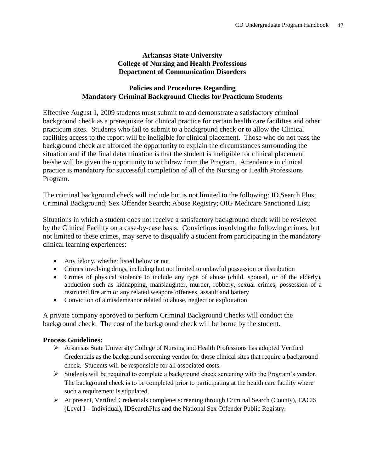### **Arkansas State University College of Nursing and Health Professions Department of Communication Disorders**

### **Policies and Procedures Regarding Mandatory Criminal Background Checks for Practicum Students**

Effective August 1, 2009 students must submit to and demonstrate a satisfactory criminal background check as a prerequisite for clinical practice for certain health care facilities and other practicum sites. Students who fail to submit to a background check or to allow the Clinical facilities access to the report will be ineligible for clinical placement. Those who do not pass the background check are afforded the opportunity to explain the circumstances surrounding the situation and if the final determination is that the student is ineligible for clinical placement he/she will be given the opportunity to withdraw from the Program. Attendance in clinical practice is mandatory for successful completion of all of the Nursing or Health Professions Program.

The criminal background check will include but is not limited to the following: ID Search Plus; Criminal Background; Sex Offender Search; Abuse Registry; OIG Medicare Sanctioned List;

Situations in which a student does not receive a satisfactory background check will be reviewed by the Clinical Facility on a case-by-case basis. Convictions involving the following crimes, but not limited to these crimes, may serve to disqualify a student from participating in the mandatory clinical learning experiences:

- Any felony, whether listed below or not
- Crimes involving drugs, including but not limited to unlawful possession or distribution
- Crimes of physical violence to include any type of abuse (child, spousal, or of the elderly), abduction such as kidnapping, manslaughter, murder, robbery, sexual crimes, possession of a restricted fire arm or any related weapons offenses, assault and battery
- Conviction of a misdemeanor related to abuse, neglect or exploitation

A private company approved to perform Criminal Background Checks will conduct the background check. The cost of the background check will be borne by the student.

### **Process Guidelines:**

- $\triangleright$  Arkansas State University College of Nursing and Health Professions has adopted Verified Credentials as the background screening vendor for those clinical sites that require a background check. Students will be responsible for all associated costs.
- $\triangleright$  Students will be required to complete a background check screening with the Program's vendor. The background check is to be completed prior to participating at the health care facility where such a requirement is stipulated.
- At present, Verified Credentials completes screening through Criminal Search (County), FACIS (Level I – Individual), IDSearchPlus and the National Sex Offender Public Registry.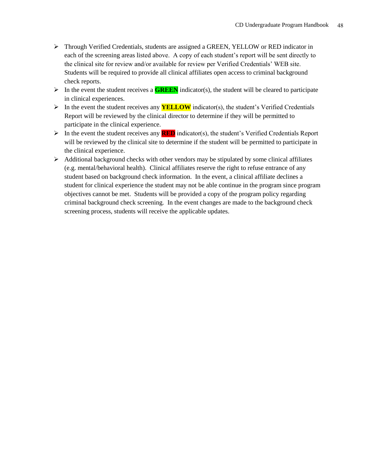- Through Verified Credentials, students are assigned a GREEN, YELLOW or RED indicator in each of the screening areas listed above. A copy of each student's report will be sent directly to the clinical site for review and/or available for review per Verified Credentials' WEB site. Students will be required to provide all clinical affiliates open access to criminal background check reports.
- In the event the student receives a **GREEN** indicator(s), the student will be cleared to participate in clinical experiences.
- In the event the student receives any **YELLOW** indicator(s), the student's Verified Credentials Report will be reviewed by the clinical director to determine if they will be permitted to participate in the clinical experience.
- $\triangleright$  In the event the student receives any **RED** indicator(s), the student's Verified Credentials Report will be reviewed by the clinical site to determine if the student will be permitted to participate in the clinical experience.
- $\triangleright$  Additional background checks with other vendors may be stipulated by some clinical affiliates (e.g. mental/behavioral health). Clinical affiliates reserve the right to refuse entrance of any student based on background check information. In the event, a clinical affiliate declines a student for clinical experience the student may not be able continue in the program since program objectives cannot be met. Students will be provided a copy of the program policy regarding criminal background check screening. In the event changes are made to the background check screening process, students will receive the applicable updates.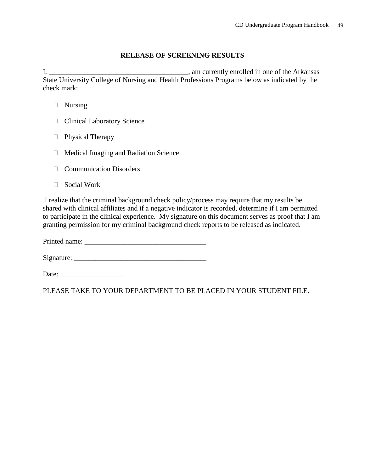### **RELEASE OF SCREENING RESULTS**

I, \_\_\_\_\_\_\_\_\_\_\_\_\_\_\_\_\_\_\_\_\_\_\_\_\_\_\_\_\_\_\_\_\_\_\_\_\_\_\_, am currently enrolled in one of the Arkansas State University College of Nursing and Health Professions Programs below as indicated by the check mark:

- □ Nursing
- **Clinical Laboratory Science**
- □ Physical Therapy
- $\Box$  Medical Imaging and Radiation Science
- **Communication Disorders**
- □ Social Work

I realize that the criminal background check policy/process may require that my results be shared with clinical affiliates and if a negative indicator is recorded, determine if I am permitted to participate in the clinical experience. My signature on this document serves as proof that I am granting permission for my criminal background check reports to be released as indicated.

Printed name: \_\_\_\_\_\_\_\_\_\_\_\_\_\_\_\_\_\_\_\_\_\_\_\_\_\_\_\_\_\_\_\_\_\_

 $Sigma:$   $\qquad \qquad$ 

Date: \_\_\_\_\_\_\_\_\_\_\_\_\_\_\_\_\_\_

PLEASE TAKE TO YOUR DEPARTMENT TO BE PLACED IN YOUR STUDENT FILE.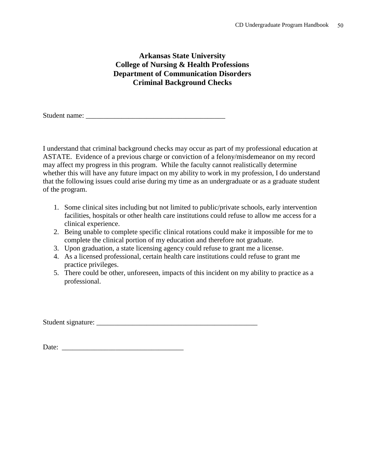### **Arkansas State University College of Nursing & Health Professions Department of Communication Disorders Criminal Background Checks**

Student name:

I understand that criminal background checks may occur as part of my professional education at ASTATE. Evidence of a previous charge or conviction of a felony/misdemeanor on my record may affect my progress in this program. While the faculty cannot realistically determine whether this will have any future impact on my ability to work in my profession, I do understand that the following issues could arise during my time as an undergraduate or as a graduate student of the program.

- 1. Some clinical sites including but not limited to public/private schools, early intervention facilities, hospitals or other health care institutions could refuse to allow me access for a clinical experience.
- 2. Being unable to complete specific clinical rotations could make it impossible for me to complete the clinical portion of my education and therefore not graduate.
- 3. Upon graduation, a state licensing agency could refuse to grant me a license.
- 4. As a licensed professional, certain health care institutions could refuse to grant me practice privileges.
- 5. There could be other, unforeseen, impacts of this incident on my ability to practice as a professional.

Student signature: \_\_\_\_\_\_\_\_\_\_\_\_\_\_\_\_\_\_\_\_\_\_\_\_\_\_\_\_\_\_\_\_\_\_\_\_\_\_\_\_\_\_\_\_\_

Date: \_\_\_\_\_\_\_\_\_\_\_\_\_\_\_\_\_\_\_\_\_\_\_\_\_\_\_\_\_\_\_\_\_\_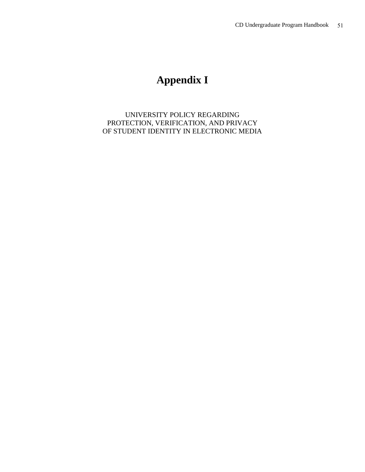## **Appendix I**

UNIVERSITY POLICY REGARDING PROTECTION, VERIFICATION, AND PRIVACY OF STUDENT IDENTITY IN ELECTRONIC MEDIA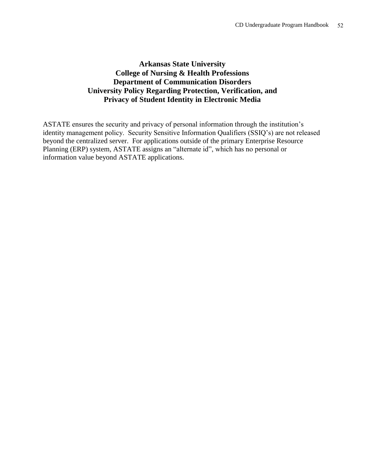### **Arkansas State University College of Nursing & Health Professions Department of Communication Disorders University Policy Regarding Protection, Verification, and Privacy of Student Identity in Electronic Media**

ASTATE ensures the security and privacy of personal information through the institution's identity management policy. Security Sensitive Information Qualifiers (SSIQ's) are not released beyond the centralized server. For applications outside of the primary Enterprise Resource Planning (ERP) system, ASTATE assigns an "alternate id", which has no personal or information value beyond ASTATE applications.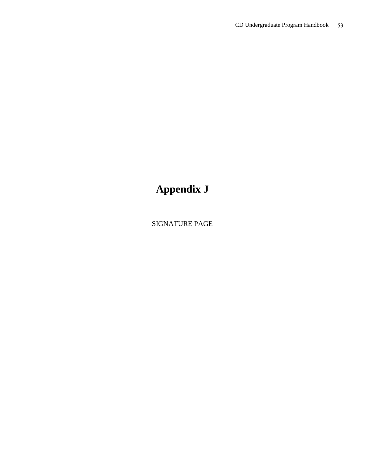# **Appendix J**

SIGNATURE PAGE